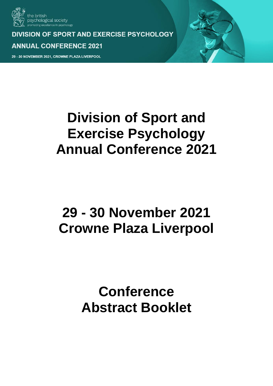

**DIVISION OF SPORT AND EXERCISE PSYCHOLOGY ANNUAL CONFERENCE 2021** 

30 NOVEMBER 2021, CROWNE PLAZA LIVERPOOL

# **Division of Sport and Exercise Psychology Annual Conference 2021**

# **29 - 30 November 2021 Crowne Plaza Liverpool**

# **Conference Abstract Booklet**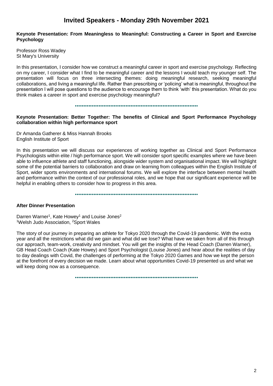# **Invited Speakers - Monday 29th November 2021**

#### **Keynote Presentation: From Meaningless to Meaningful: Constructing a Career in Sport and Exercise Psychology**

Professor Ross Wadey St Mary's University

In this presentation, I consider how we construct a meaningful career in sport and exercise psychology. Reflecting on my career, I consider what I find to be meaningful career and the lessons I would teach my younger self. The presentation will focus on three intersecting themes: doing meaningful research, seeking meaningful collaborations, and living a meaningful life. Rather than prescribing or 'policing' what is meaningful, throughout the presentation I will pose questions to the audience to encourage them to think 'with' this presentation. What do you think makes a career in sport and exercise psychology meaningful?

#### •••••••••••••••••••••••••••••••••••••••••••••••••••••••••••••••••••••••••

## **Keynote Presentation: Better Together: The benefits of Clinical and Sport Performance Psychology collaboration within high performance sport**

Dr Amanda Gatherer & Miss Hannah Brooks English Institute of Sport

In this presentation we will discuss our experiences of working together as Clinical and Sport Performance Psychologists within elite / high performance sport. We will consider sport specific examples where we have been able to influence athlete and staff functioning, alongside wider system and organisational impact. We will highlight some of the potential barriers to collaboration and draw on learning from colleagues within the English Institute of Sport, wider sports environments and international forums. We will explore the interface between mental health and performance within the context of our professional roles, and we hope that our significant experience will be helpful in enabling others to consider how to progress in this area.

•••••••••••••••••••••••••••••••••••••••••••••••••••••••••••••••••••••••••

#### **After Dinner Presentation**

Darren Warner<sup>1</sup>, Kate Howey<sup>1</sup> and Louise Jones<sup>2</sup> <sup>1</sup>Welsh Judo Association, <sup>2</sup>Sport Wales

The story of our journey in preparing an athlete for Tokyo 2020 through the Covid-19 pandemic. With the extra year and all the restrictions what did we gain and what did we lose? What have we taken from all of this through our approach, team-work, creativity and mindset. You will get the insights of the Head Coach (Darren Warner), GB Head Coach Coach (Kate Howey) and Sport Psychologist (Louise Jones) and hear about the realities of day to day dealings with Covid, the challenges of performing at the Tokyo 2020 Games and how we kept the person at the forefront of every decision we made. Learn about what opportunities Covid-19 presented us and what we will keep doing now as a consequence.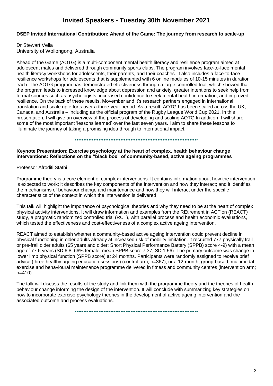# **Invited Speakers - Tuesday 30th November 2021**

## **DSEP Invited International Contribution: Ahead of the Game: The journey from research to scale-up**

# Dr Stewart Vella

University of Wollongong, Australia

Ahead of the Game (AOTG) is a multi-component mental health literacy and resilience program aimed at adolescent males and delivered through community sports clubs. The program involves face-to-face mental health literacy workshops for adolescents, their parents, and their coaches. It also includes a face-to-face resilience workshops for adolescents that is supplemented with 6 online modules of 10-15 minutes in duration each. The AOTG program has demonstrated effectiveness through a large controlled trial, which showed that the program leads to increased knowledge about depression and anxiety, greater intentions to seek help from formal sources such as psychologists, increased confidence to seek mental health information, and improved resilience. On the back of these results, Movember and it's research partners engaged in international translation and scale up efforts over a three-year period. As a result, AOTG has been scaled across the UK, Canada, and Australia – including as the official program of the Rugby League World Cup 2021. In this presentation, I will give an overview of the process of developing and scaling AOTG In addition, I will share some of the most important 'lessons learned' over the last seven years. I aim to share these lessons to illuminate the journey of taking a promising idea through to international impact.

•••••••••••••••••••••••••••••••••••••••••••••••••••••••••••••••••••••••••

**Keynote Presentation: Exercise psychology at the heart of complex, health behaviour change interventions: Reflections on the "black box" of community-based, active ageing programmes**

Professor Afroditi Stathi

Programme theory is a core element of complex interventions. It contains information about how the intervention is expected to work; it describes the key components of the intervention and how they interact; and it identifies the mechanisms of behaviour change and maintenance and how they will interact under the specific characteristics of the context in which the intervention is delivered.

This talk will highlight the importance of psychological theories and why they need to be at the heart of complex physical activity interventions. It will draw information and examples from the REtirement in ACTion (REACT) study, a pragmatic randomized controlled trial (RCT), with parallel process and health economic evaluations, which tested the effectiveness and cost-effectiveness of a complex active ageing intervention.

REACT aimed to establish whether a community-based active ageing intervention could prevent decline in physical functioning in older adults already at increased risk of mobility limitation. It recruited 777 physically frail or pre-frail older adults (65 years and older; Short Physical Performance Battery (SPPB) score 4-9) with a mean age of 77.6 years (SD 6.8; 66% female; mean SPPB score 7.37, SD 1.56). The primary outcome was change in lower limb physical function (SPPB score) at 24 months. Participants were randomly assigned to receive brief advice (three healthy ageing education sessions) (control arm; n=367); or a 12-month, group-based, multimodal exercise and behavioural maintenance programme delivered in fitness and community centres (intervention arm; n=410).

The talk will discuss the results of the study and link them with the programme theory and the theories of health behaviour change informing the design of the intervention. It will conclude with summarizing key strategies on how to incorporate exercise psychology theories in the development of active ageing intervention and the associated outcome and process evaluations.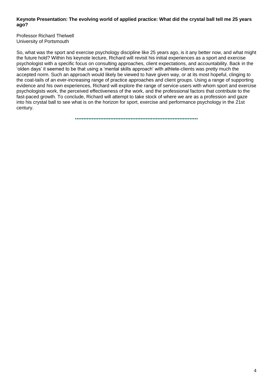#### **Keynote Presentation: The evolving world of applied practice: What did the crystal ball tell me 25 years ago?**

Professor Richard Thelwell University of Portsmouth

So, what was the sport and exercise psychology discipline like 25 years ago, is it any better now, and what might the future hold? Within his keynote lecture, Richard will revisit his initial experiences as a sport and exercise psychologist with a specific focus on consulting approaches, client expectations, and accountability. Back in the 'olden days' it seemed to be that using a 'mental skills approach' with athlete-clients was pretty much the accepted norm. Such an approach would likely be viewed to have given way, or at its most hopeful, clinging to the coat-tails of an ever-increasing range of practice approaches and client groups. Using a range of supporting evidence and his own experiences, Richard will explore the range of service-users with whom sport and exercise psychologists work, the perceived effectiveness of the work, and the professional factors that contribute to the fast-paced growth. To conclude, Richard will attempt to take stock of where we are as a profession and gaze into his crystal ball to see what is on the horizon for sport, exercise and performance psychology in the 21st century.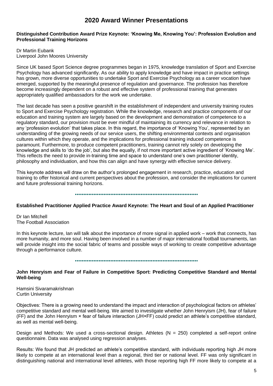# **2020 Award Winner Presentations**

#### **Distinguished Contribution Award Prize Keynote: 'Knowing Me, Knowing You': Profession Evolution and Professional Training Horizons**

Dr Martin Eubank Liverpool John Moores University

Since UK based Sport Science degree programmes began in 1975, knowledge translation of Sport and Exercise Psychology has advanced significantly. As our ability to apply knowledge and have impact in practice settings has grown, more diverse opportunities to undertake Sport and Exercise Psychology as a career vocation have emerged, supported by the meaningful presence of regulation and governance. The profession has therefore become increasingly dependent on a robust and effective system of professional training that generates appropriately qualified ambassadors for the work we undertake.

The last decade has seen a positive gearshift in the establishment of independent and university training routes to Sport and Exercise Psychology registration. While the knowledge, research and practice components of our education and training system are largely based on the development and demonstration of competence to a regulatory standard, our provision must be ever mindful of maintaining its currency and relevance in relation to any 'profession evolution' that takes place. In this regard, the importance of 'Knowing You', represented by an understanding of the growing needs of our service users, the shifting environmental contexts and organisation cultures within which they operate, and the implications for professional training induced competence is paramount. Furthermore, to produce competent practitioners, training cannot rely solely on developing the knowledge and skills to 'do the job', but also the equally, if not more important active ingredient of 'Knowing Me'. This reflects the need to provide in-training time and space to understand one's own practitioner identity, philosophy and individuation, and how this can align and have synergy with effective service delivery.

This keynote address will draw on the author's prolonged engagement in research, practice, education and training to offer historical and current perspectives about the profession, and consider the implications for current and future professional training horizons.

#### •••••••••••••••••••••••••••••••••••••••••••••••••••••••••••••••••••••••••

# **Established Practitioner Applied Practice Award Keynote: The Heart and Soul of an Applied Practitioner**

Dr Ian Mitchell The Football Association

In this keynote lecture, Ian will talk about the importance of more signal in applied work – work that connects, has more humanity, and more soul. Having been involved in a number of major international football tournaments, Ian will provide insight into the social fabric of teams and possible ways of working to create competitive advantage through a performance culture.

#### •••••••••••••••••••••••••••••••••••••••••••••••••••••••••••••••••••••••••

## **John Henryism and Fear of Failure in Competitive Sport: Predicting Competitive Standard and Mental Well-being**

Hamsini Sivaramakrishnan Curtin University

Objectives: There is a growing need to understand the impact and interaction of psychological factors on athletes' competitive standard and mental well-being. We aimed to investigate whether John Henryism (JH), fear of failure (FF) and the John Henryism × fear of failure interaction (JH×FF) could predict an athlete's competitive standard, as well as mental well-being.

Design and Methods: We used a cross-sectional design. Athletes  $(N = 250)$  completed a self-report online questionnaire. Data was analysed using regression analyses.

Results: We found that JH predicted an athlete's competitive standard, with individuals reporting high JH more likely to compete at an international level than a regional, third tier or national level. FF was only significant in distinguishing national and international level athletes, with those reporting high FF more likely to compete at a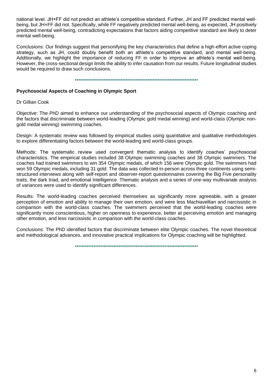national level. JH×FF did not predict an athlete's competitive standard. Further, JH and FF predicted mental wellbeing, but JH×FF did not. Specifically, while FF negatively predicted mental well-being, as expected, JH positively predicted mental well-being, contradicting expectations that factors aiding competitive standard are likely to deter mental well-being.

Conclusions: Our findings suggest that personifying the key characteristics that define a high-effort active coping strategy, such as JH, could doubly benefit both an athlete's competitive standard, and mental well-being. Additionally, we highlight the importance of reducing FF in order to improve an athlete's mental well-being. However, the cross-sectional design limits the ability to infer causation from our results. Future longitudinal studies would be required to draw such conclusions.

•••••••••••••••••••••••••••••••••••••••••••••••••••••••••••••••••••••••••

## **Psychosocial Aspects of Coaching in Olympic Sport**

Dr Gillian Cook

Objective: The PhD aimed to enhance our understanding of the psychosocial aspects of Olympic coaching and the factors that discriminate between world-leading (Olympic gold medal winning) and world-class (Olympic nongold medal winning) swimming coaches.

Design: A systematic review was followed by empirical studies using quantitative and qualitative methodologies to explore differentiating factors between the world-leading and world-class groups.

Methods: The systematic review used convergent thematic analysis to identify coaches' psychosocial characteristics. The empirical studies included 38 Olympic swimming coaches and 38 Olympic swimmers. The coaches had trained swimmers to win 354 Olympic medals, of which 156 were Olympic gold. The swimmers had won 59 Olympic medals, including 31 gold. The data was collected in-person across three continents using semistructured interviews along with self-report and observer-report questionnaires covering the Big Five personality traits, the dark triad, and emotional intelligence. Thematic analysis and a series of one-way multivariate analysis of variances were used to identify significant differences.

Results: The world-leading coaches perceived themselves as significantly more agreeable, with a greater perception of emotion and ability to manage their own emotion, and were less Machiavellian and narcissistic in comparison with the world-class coaches. The swimmers perceived that the world-leading coaches were significantly more conscientious, higher on openness to experience, better at perceiving emotion and managing other emotion, and less narcissistic in comparison with the world-class coaches.

Conclusions: The PhD identified factors that discriminate between elite Olympic coaches. The novel theoretical and methodological advances, and innovative practical implications for Olympic coaching will be highlighted.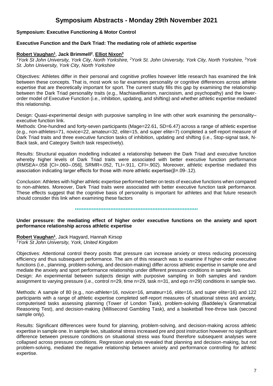# **Symposium Abstracts - Monday 29th November 2021**

## **Symposium: Executive Functioning & Motor Control**

#### **Executive Function and the Dark Triad: The mediating role of athletic expertise**

#### **Robert Vaughan<sup>1</sup>** , **Jack Brimmell<sup>2</sup>** , **Elliot Nixon<sup>3</sup>**

*<sup>1</sup>York St John University, York City, North Yorkshire, <sup>2</sup>York St. John University, York City, North Yorkshire, <sup>3</sup>York St. John University, York City, North Yorkshire*

Objectives: Athletes differ in their personal and cognitive profiles however little research has examined the link between these concepts. That is, most work so far examines personality or cognitive differences across athlete expertise that are theoretically important for sport. The current study fills this gap by examining the relationship between the Dark Triad personality traits (e.g., Machiavellianism, narcissism, and psychopathy) and the lowerorder model of Executive Function (i.e., inhibition, updating, and shifting) and whether athletic expertise mediated this relationship.

Design: Quasi-experimental design with purposive sampling in line with other work examining the personality– executive function link.

Methods: One-hundred and forty-seven participants (Mage=22.61, SD=6.47) across a range of athletic expertise (e.g., non-athletes=71, novice=22, amateur=32, elite=15, and super elite=7) completed a self-report measure of Dark Triad traits and three executive function tasks of inhibition, updating and shifting (i.e., Stop-signal task, N-Back task, and Category Switch task respectively).

Results: Structural equation modelling indicated a relationship between the Dark Triad and executive function whereby higher levels of Dark Triad traits were associated with better executive function performance (RMSEA=.058 [CI=.060–.056], SRMR=.052, TLI=.911, CFI=.902). Moreover, athletic expertise mediated this association indicating larger effects for those with more athletic expertise( $\beta$ =.09-.12).

Conclusion: Athletes with higher athletic expertise performed better on tests of executive functions when compared to non-athletes. Moreover, Dark Triad traits were associated with better executive function task performance. These effects suggest that the cognitive basis of personality is important for athletes and that future research should consider this link when examining these factors

•••••••••••••••••••••••••••••••••••••••••••••••••••••••••••••••••••••••••

#### **Under pressure: the mediating effect of higher order executive functions on the anxiety and sport performance relationship across athletic expertise**

**Robert Vaughan<sup>1</sup>** , Jack Hagyard, Hannah Kirsop *<sup>1</sup>York St John University, York, United Kingdom*

Objectives: Attentional control theory posits that pressure can increase anxiety or stress reducing processing efficiency and thus subsequent performance. The aim of this research was to examine if higher-order executive functions (i.e., planning, problem-solving, and decision-making) differ across athletic expertise in sample one and mediate the anxiety and sport performance relationship under different pressure conditions in sample two. Design: An experimental between subjects design with purposive sampling in both samples and random assignment to varying pressure (i.e., control n=29, time n=29, task n=31, and ego n=29) conditions in sample two.

Methods: A sample of 80 (e.g., non-athlete=16, novice=16, amateur=16, elite=16, and super elite=16) and 122 participants with a range of athletic expertise completed self-report measures of situational stress and anxiety, computerised tasks assessing planning (Tower of London Task), problem-solving (Baddeley's Grammatical Reasoning Test), and decision-making (Millisecond Gambling Task), and a basketball free-throw task (second sample only).

Results: Significant differences were found for planning, problem-solving, and decision-making across athletic expertise in sample one. In sample two, situational stress increased pre and post instruction however no significant difference between pressure conditions on situational stress was found therefore subsequent analyses were collapsed across pressure conditions. Regression analysis revealed that planning and decision-making, but not problem-solving, mediated the negative relationship between anxiety and performance controlling for athletic expertise.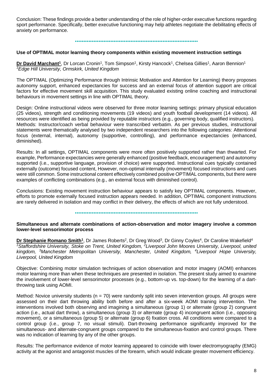Conclusion: These findings provide a better understanding of the role of higher-order executive functions regarding sport performance. Specifically, better executive functioning may help athletes negotiate the debilitating effects of anxiety on performance.

#### •••••••••••••••••••••••••••••••••••••••••••••••••••••••••••••••••••••••••

#### **Use of OPTIMAL motor learning theory components within existing movement instruction settings**

**Dr David Marchant<sup>1</sup>**, Dr Lorcan Cronin<sup>1</sup>, Tom Simpson<sup>1</sup>, Kirsty Hancock<sup>1</sup>, Chelsea Gillies<sup>1</sup>, Aaron Bennion<sup>1</sup> *<sup>1</sup>Edge Hill University, Ormskirk, United Kingdom*

The OPTIMAL (Optimizing Performance through Intrinsic Motivation and Attention for Learning) theory proposes autonomy support, enhanced expectancies for success and an external focus of attention support are critical factors for effective movement skill acquisition. This study evaluated existing online coaching and instructional behaviours in movement settings in line with OPTIMAL theory.

Design: Online instructional videos were observed for three motor learning settings: primary physical education (25 videos), strength and conditioning movements (19 videos) and youth football development (14 videos). All resources were identified as being provided by reputable instructors (e.g., governing body, qualified instructors). Methods: Instructor/coach verbal behaviour were transcribed verbatim. As per previous studies, instructional statements were thematically analysed by two independent researchers into the following categories: Attentional focus (external, internal), autonomy (supportive, controlling), and performance expectancies (enhanced, diminished).

Results: In all settings, OPTIMAL components were more often positively supported rather than thwarted. For example, Performance expectancies were generally enhanced (positive feedback, encouragement) and autonomy supported (i.e., supportive language, provision of choice) were supported. Instructional cues typically contained externally (outcome) focused content, However, non-optimal internally (movement) focused instructions and cues were still common. Some instructional content effectively combined positive OPTIMAL components, but there were examples of conflicting combinations (e.g., an external focus with diminished control).

Conclusions: Existing movement instruction behaviour appears to satisfy key OPTIMAL components. However, efforts to promote externally focused instruction appears needed. In addition, OPTIMAL component instructions are rarely delivered in isolation and may conflict in their delivery, the effects of which are not fully understood.

•••••••••••••••••••••••••••••••••••••••••••••••••••••••••••••••••••••••••

#### **Simultaneous and alternate combinations of action-observation and motor imagery involve a common lower-level sensorimotor process**

**Dr Stephanie Romano Smith<sup>1</sup>**, Dr James Roberts<sup>2</sup>, Dr Greg Wood<sup>3</sup>, Dr Ginny Coyles<sup>4</sup>, Dr Caroline Wakefield<sup>4</sup> <sup>7</sup>*Staffordshire University, Stoke on Trent, United Kingdom, <sup>2</sup>Liverpool John Moores University, Liverpool, united kingdom, <sup>3</sup>Manchester Metropolitan University, Manchester, United Kingdom, <sup>4</sup>Liverpool Hope University, Liverpool, United Kingdom*

Objective: Combining motor simulation techniques of action observation and motor imagery (AOMI) enhances motor learning more than when these techniques are presented in isolation. The present study aimed to examine the involvement of lower-level sensorimotor processes (e.g., bottom-up vs. top-down) for the learning of a dartthrowing task using AOMI.

Method: Novice university students ( $n = 70$ ) were randomly split into seven intervention groups. All groups were assessed on their dart throwing ability both before and after a six-week AOMI training intervention. The interventions involved both observing and imagining a simultaneous (group 1) or alternate (group 2) congruent action (i.e., actual dart throw), a simultaneous (group 3) or alternate (group 4) incongruent action (i.e., opposing movement), or a simultaneous (group 5) or alternate (group 6) fixation cross. All conditions were compared to a control group (i.e., group 7, no visual stimuli). Dart-throwing performance significantly improved for the simultaneous- and alternate-congruent groups compared to the simultaneous-fixation and control groups. There was no indication of learning by any of the other groups.

Results: The performance evidence of motor learning appeared to coincide with lower electromyography (EMG) activity at the agonist and antagonist muscles of the forearm, which would indicate greater movement efficiency.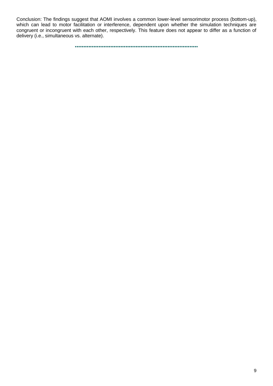Conclusion: The findings suggest that AOMI involves a common lower-level sensorimotor process (bottom-up), which can lead to motor facilitation or interference, dependent upon whether the simulation techniques are congruent or incongruent with each other, respectively. This feature does not appear to differ as a function of delivery (i.e., simultaneous vs. alternate).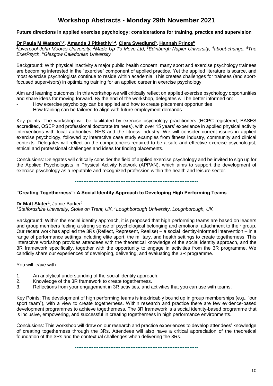# **Workshop Abstracts - Monday 29th November 2021**

## **Future directions in applied exercise psychology: considerations for training, practice and supervision**

## **Dr Paula M Watson1,2** , **Amanda J Pitkethly3,4** , **Clara Swedlund<sup>5</sup>** , **Hannah Prince<sup>6</sup>**

*<sup>1</sup>Liverpool John Moores University, <sup>2</sup>Made Up To Move Ltd, <sup>3</sup>Edinburgh Napier University, <sup>4</sup>about-change, <sup>5</sup>The ExerPsych, <sup>6</sup>Glasgow Caledonian University*

Background: With physical inactivity a major public health concern, many sport and exercise psychology trainees are becoming interested in the "exercise" component of applied practice. Yet the applied literature is scarce, and most exercise psychologists continue to reside within academia. This creates challenges for trainees (and sportfocused supervisors) in optimizing training for an applied career in exercise psychology.

Aim and learning outcomes: In this workshop we will critically reflect on applied exercise psychology opportunities and share ideas for moving forward. By the end of the workshop, delegates will be better informed on:

- How exercise psychology can be applied and how to create placement opportunities
- How training can be tailored to align with future employment demands.

Key points: The workshop will be facilitated by exercise psychology practitioners (HCPC-registered, BASES accredited, QSEP and professional doctorate trainees), with over 15 years' experience in applied physical activity interventions with local authorities, NHS and the fitness industry. We will consider current issues in applied exercise psychology, followed by interactive case study examples from fitness industry, community and clinical contexts. Delegates will reflect on the competencies required to be a safe and effective exercise psychologist, ethical and professional challenges and ideas for finding placements.

Conclusions: Delegates will critically consider the field of applied exercise psychology and be invited to sign up for the Applied Psychologists in Physical Activity Network (APPAN), which aims to support the development of exercise psychology as a reputable and recognized profession within the health and leisure sector.

•••••••••••••••••••••••••••••••••••••••••••••••••••••••••••••••••••••••••

#### **"Creating Togetherness": A Social Identity Approach to Developing High Performing Teams**

#### **Dr Matt Slater<sup>1</sup>** , Jamie Barker<sup>2</sup>

*<sup>1</sup>Staffordshire University, Stoke on Trent, UK, <sup>2</sup>Loughborough University, Loughborough, UK*

Background: Within the social identity approach, it is proposed that high performing teams are based on leaders and group members feeling a strong sense of psychological belonging and emotional attachment to their group. Our recent work has applied the 3Rs (Reflect, Represent, Realise) – a social identity-informed intervention – in a range of performance settings including elite sport, the military, and health settings to create togetherness. This interactive workshop provides attendees with the theoretical knowledge of the social identity approach, and the 3R framework specifically, together with the opportunity to engage in activities from the 3R programme. We candidly share our experiences of developing, delivering, and evaluating the 3R programme.

You will leave with:

- 1. An analytical understanding of the social identity approach.
- 2. Knowledge of the 3R framework to create togetherness.
- 3. Reflections from your engagement in 3R activities, and activities that you can use with teams.

Key Points: The development of high performing teams is inextricably bound up in group memberships (e.g., "our sport team"), with a view to create togetherness. Within research and practice there are few evidence-based development programmes to achieve togetherness. The 3R framework is a social identity-based programme that is inclusive, empowering, and successful in creating togetherness in high performance environments.

Conclusions: This workshop will draw on our research and practice experiences to develop attendees' knowledge of creating togetherness through the 3Rs. Attendees will also have a critical appreciation of the theoretical foundation of the 3Rs and the contextual challenges when delivering the 3Rs.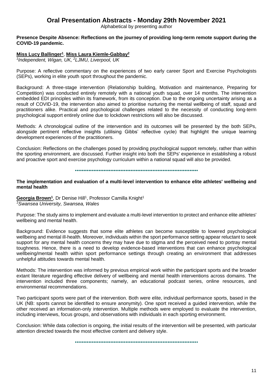# **Oral Presentation Abstracts - Monday 29th November 2021**

Alphabetical by presenting author

#### **Presence Despite Absence: Reflections on the journey of providing long-term remote support during the COVID-19 pandemic.**

## **Miss Lucy Ballinger<sup>1</sup>** , **Miss Laura Kiemle-Gabbay<sup>2</sup>**

*1 Independent, Wigan, UK, <sup>2</sup>LJMU, Liverpool, UK*

Purpose: A reflective commentary on the experiences of two early career Sport and Exercise Psychologists (SEPs), working in elite youth sport throughout the pandemic.

Background: A three-stage intervention (Relationship building, Motivation and maintenance, Preparing for Competition) was conducted entirely remotely with a national youth squad, over 14 months. The intervention embedded EDI principles within its framework, from its conception. Due to the ongoing uncertainty arising as a result of COVID-19, the intervention also aimed to prioritise nurturing the mental wellbeing of staff, squad and practitioners alike. Practical and psychological challenges related to the necessity of conducting long-term psychological support entirely online due to lockdown restrictions will also be discussed.

Methods: A chronological outline of the intervention and its outcomes will be presented by the both SEPs, alongside pertinent reflective insights (utilising Gibbs' reflective cycle) that highlight the unique learning development experiences of the practitioners.

Conclusion: Reflections on the challenges posed by providing psychological support remotely, rather than within the sporting environment, are discussed. Further insight into both the SEPs' experience in establishing a robust and proactive sport and exercise psychology curriculum within a national squad will also be provided.

•••••••••••••••••••••••••••••••••••••••••••••••••••••••••••••••••••••••••

**The implementation and evaluation of a multi-level intervention to enhance elite athletes' wellbeing and mental health**

Georgia Brown<sup>1</sup>, Dr Denise Hill<sup>1</sup>, Professor Camilla Knight<sup>1</sup> *<sup>1</sup>Swansea University, Swansea, Wales*

Purpose: The study aims to implement and evaluate a multi-level intervention to protect and enhance elite athletes' wellbeing and mental health.

Background: Evidence suggests that some elite athletes can become susceptible to lowered psychological wellbeing and mental ill-health. Moreover, individuals within the sport performance setting appear reluctant to seek support for any mental health concerns they may have due to stigma and the perceived need to portray mental toughness. Hence, there is a need to develop evidence-based interventions that can enhance psychological wellbeing/mental health within sport performance settings through creating an environment that addresses unhelpful attitudes towards mental health.

Methods: The intervention was informed by previous empirical work within the participant sports and the broader extant literature regarding effective delivery of wellbeing and mental health interventions across domains. The intervention included three components; namely, an educational podcast series, online resources, and environmental recommendations.

Two participant sports were part of the intervention. Both were elite, individual performance sports, based in the UK (NB: sports cannot be identified to ensure anonymity). One sport received a guided intervention, while the other received an information-only intervention. Multiple methods were employed to evaluate the intervention, including interviews, focus groups, and observations with individuals in each sporting environment.

Conclusion: While data collection is ongoing, the initial results of the intervention will be presented, with particular attention directed towards the most effective content and delivery style.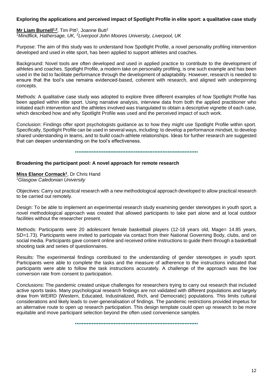## **Exploring the applications and perceived impact of Spotlight Profile in elite sport: a qualitative case study**

## Mr Liam Burnell<sup>1,2</sup>, Tim Pitt<sup>1</sup>, Joanne Butt<sup>2</sup>

*<sup>1</sup>Mindflick, Hathersage, UK, <sup>2</sup>Liverpool John Moores University, Liverpool, UK*

Purpose: The aim of this study was to understand how Spotlight Profile, a novel personality profiling intervention developed and used in elite sport, has been applied to support athletes and coaches.

Background: Novel tools are often developed and used in applied practice to contribute to the development of athletes and coaches. Spotlight Profile, a modern take on personality profiling, is one such example and has been used in the bid to facilitate performance through the development of adaptability. However, research is needed to ensure that the tool's use remains evidenced-based, coherent with research, and aligned with underpinning concepts.

Methods: A qualitative case study was adopted to explore three different examples of how Spotlight Profile has been applied within elite sport. Using narrative analysis, interview data from both the applied practitioner who initiated each intervention and the athletes involved was triangulated to obtain a descriptive vignette of each case, which described how and why Spotlight Profile was used and the perceived impact of such work.

Conclusion: Findings offer sport psychologists guidance as to how they might use Spotlight Profile within sport. Specifically, Spotlight Profile can be used in several ways, including: to develop a performance mindset, to develop shared understanding in teams, and to build coach-athlete relationships. Ideas for further research are suggested that can deepen understanding on the tool's effectiveness.

•••••••••••••••••••••••••••••••••••••••••••••••••••••••••••••••••••••••••

#### **Broadening the participant pool: A novel approach for remote research**

#### **Miss Elanor Cormack<sup>1</sup>** , Dr Chris Hand

*<sup>1</sup>Glasgow Caledonian University* 

Objectives: Carry out practical research with a new methodological approach developed to allow practical research to be carried out remotely.

Design: To be able to implement an experimental research study examining gender stereotypes in youth sport, a novel methodological approach was created that allowed participants to take part alone and at local outdoor facilities without the researcher present.

Methods: Participants were 20 adolescent female basketball players (12-18 years old, Mage= 14.85 years, SD=1.73). Participants were invited to participate via contact from their National Governing Body, clubs, and on social media. Participants gave consent online and received online instructions to guide them through a basketball shooting task and series of questionnaires.

Results: The experimental findings contributed to the understanding of gender stereotypes in youth sport. Participants were able to complete the tasks and the measure of adherence to the instructions indicated that participants were able to follow the task instructions accurately. A challenge of the approach was the low conversion rate from consent to participation.

Conclusions: The pandemic created unique challenges for researchers trying to carry out research that included active sports tasks. Many psychological research findings are not validated with different populations and largely draw from WEIRD (Western, Educated, Industrialized, Rich, and Democratic) populations. This limits cultural considerations and likely leads to over-generalisation of findings. The pandemic restrictions provided impetus for an alternative route to open up research participation. This design template could open up research to be more equitable and move participant selection beyond the often used convenience samples.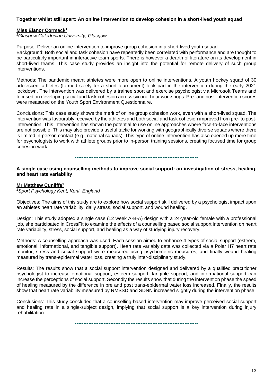#### **Together whilst still apart: An online intervention to develop cohesion in a short-lived youth squad**

#### **Miss Elanor Cormack<sup>1</sup>**

*<sup>1</sup>Glasgow Caledonian University, Glasgow,* 

Purpose: Deliver an online intervention to improve group cohesion in a short-lived youth squad.

Background: Both social and task cohesion have repeatedly been correlated with performance and are thought to be particularly important in interactive team sports. There is however a dearth of literature on its development in short-lived teams. This case study provides an insight into the potential for remote delivery of such group interventions.

Methods: The pandemic meant athletes were more open to online interventions. A youth hockey squad of 30 adolescent athletes (formed solely for a short tournament) took part in the intervention during the early 2021 lockdown. The intervention was delivered by a trainee sport and exercise psychologist via Microsoft Teams and focused on developing social and task cohesion across six one-hour workshops. Pre- and post-intervention scores were measured on the Youth Sport Environment Questionnaire.

Conclusions: This case study shows the merit of online group cohesion work, even with a short-lived squad. The intervention was favourably received by the athletes and both social and task cohesion improved from pre- to postintervention. This intervention has shown the potential to use online approaches where face-to-face interventions are not possible. This may also provide a useful tactic for working with geographically diverse squads where there is limited in-person contact (e.g., national squads). This type of online intervention has also opened up more time for psychologists to work with athlete groups prior to in-person training sessions, creating focused time for group cohesion work.

•••••••••••••••••••••••••••••••••••••••••••••••••••••••••••••••••••••••••

**A single case using counselling methods to improve social support: an investigation of stress, healing, and heart rate variability**

#### **Mr Matthew Cunliffe<sup>1</sup>**

*<sup>1</sup>Sport Psychology Kent, Kent, England*

Objectives: The aims of this study are to explore how social support skill delivered by a psychologist impact upon an athletes heart rate variability, daily stress, social support, and wound healing.

Design: This study adopted a single case (12 week A-B-A) design with a 24-year-old female with a professional job, she participated in CrossFit to examine the effects of a counselling based social support intervention on heart rate variability, stress, social support, and healing as a way of studying injury recovery.

Methods: A counselling approach was used. Each session aimed to enhance 4 types of social support (esteem, emotional, informational, and tangible support). Heart rate variably data was collected via a Polar H7 heart rate monitor, stress and social support were measured using psychometric measures, and finally wound healing measured by trans-epidermal water loss, creating a truly inter-disciplinary study.

Results: The results show that a social support intervention designed and delivered by a qualified practitioner psychologist to increase emotional support, esteem support, tangible support, and informational support can increase the perceptions of social support. Secondly the results show that during the intervention phase the speed of healing measured by the difference in pre and post trans-epidermal water loss increased. Finally, the results show that heart rate variability measured by RMSSD and SDNN increased slightly during the intervention phase.

Conclusions: This study concluded that a counselling-based intervention may improve perceived social support and healing rate in a single-subject design, implying that social support is a key intervention during injury rehabilitation.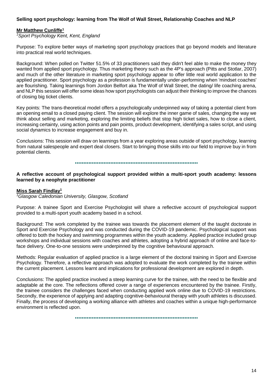## **Selling sport psychology: learning from The Wolf of Wall Street, Relationship Coaches and NLP**

#### **Mr Matthew Cunliffe<sup>1</sup>**

*<sup>1</sup>Sport Psychology Kent, Kent, England*

Purpose: To explore better ways of marketing sport psychology practices that go beyond models and literature into practical real world techniques.

Background: When polled on Twitter 51.5% of 33 practitioners said they didn't feel able to make the money they wanted from applied sport psychology. Thus marketing theory such as the 4P's approach (Pitts and Stotlar, 2007) and much of the other literature in marketing sport psychology appear to offer little real world application to the applied practitioner. Sport psychology as a profession is fundamentally under-performing when 'mindset coaches' are flourishing. Taking learnings from Jordon Belfort aka The Wolf of Wall Street, the dating/ life coaching arena, and NLP this session will offer some ideas how sport psychologists can adjust their thinking to improve the chances of closing big ticket clients.

Key points: The trans-theoretical model offers a psychologically underpinned way of taking a potential client from an opening email to a closed paying client. The session will explore the inner game of sales, changing the way we think about selling and marketing, exploring the limiting beliefs that stop high ticket sales, how to close a client, increasing certainty, using action points and pain points, product development, identifying a sales script, and using social dynamics to increase engagement and buy in.

Conclusions: This session will draw on learnings from a year exploring areas outside of sport psychology, learning from natural salespeople and expert deal closers. Start to bringing those skills into our field to improve buy in from potential clients.

•••••••••••••••••••••••••••••••••••••••••••••••••••••••••••••••••••••••••

**A reflective account of psychological support provided within a multi-sport youth academy: lessons learned by a neophyte practitioner**

#### **Miss Sarah Findlay<sup>1</sup>**

*<sup>1</sup>Glasgow Caledonian University, Glasgow, Scotland*

Purpose: A trainee Sport and Exercise Psychologist will share a reflective account of psychological support provided to a multi-sport youth academy based in a school.

Background: The work completed by the trainee was towards the placement element of the taught doctorate in Sport and Exercise Psychology and was conducted during the COVID-19 pandemic. Psychological support was offered to both the hockey and swimming programmes within the youth academy. Applied practice included group workshops and individual sessions with coaches and athletes, adopting a hybrid approach of online and face-toface delivery. One-to-one sessions were underpinned by the cognitive behavioural approach.

Methods: Regular evaluation of applied practice is a large element of the doctoral training in Sport and Exercise Psychology. Therefore, a reflective approach was adopted to evaluate the work completed by the trainee within the current placement. Lessons learnt and implications for professional development are explored in depth.

Conclusions: The applied practice involved a steep learning curve for the trainee, with the need to be flexible and adaptable at the core. The reflections offered cover a range of experiences encountered by the trainee. Firstly, the trainee considers the challenges faced when conducting applied work online due to COVID-19 restrictions. Secondly, the experience of applying and adapting cognitive-behavioural therapy with youth athletes is discussed. Finally, the process of developing a working alliance with athletes and coaches within a unique high-performance environment is reflected upon.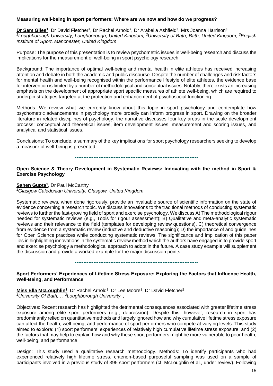#### **Measuring well-being in sport performers: Where are we now and how do we progress?**

**Dr Sam Giles<sup>1</sup>**, Dr David Fletcher<sup>1</sup>, Dr Rachel Arnold<sup>2</sup>, Dr Arabella Ashfield<sup>3</sup>, Mrs Joanna Harrison<sup>3</sup> *<sup>1</sup>Loughborough University, Loughborough, United Kingdom, <sup>2</sup>University of Bath, Bath, United Kingdom, <sup>3</sup>English Institute of Sport, Manchester, United Kingdom*

Purpose: The purpose of this presentation is to review psychometric issues in well-being research and discuss the implications for the measurement of well-being in sport psychology research.

Background: The importance of optimal well-being and mental health in elite athletes has received increasing attention and debate in both the academic and public discourse. Despite the number of challenges and risk factors for mental health and well-being recognised within the performance lifestyle of elite athletes, the evidence base for intervention is limited by a number of methodological and conceptual issues. Notably, there exists an increasing emphasis on the development of appropriate sport specific measures of athlete well-being, which are required to underpin strategies targeted at the protection and enhancement of psychosocial functioning.

Methods: We review what we currently know about this topic in sport psychology and contemplate how psychometric advancements in psychology more broadly can inform progress in sport. Drawing on the broader literature in related disciplines of psychology, the narrative discusses four key areas in the scale development process: conceptual and theoretical issues, item development issues, measurement and scoring issues, and analytical and statistical issues.

Conclusions: To conclude, a summary of the key implications for sport psychology researchers seeking to develop a measure of well-being is presented.

•••••••••••••••••••••••••••••••••••••••••••••••••••••••••••••••••••••••••

**Open Science & Theory Development in Systematic Reviews: Innovating with the method in Sport & Exercise Psychology**

#### **Sahen Gupta<sup>1</sup>** , Dr Paul McCarthy

*<sup>1</sup>Glasgow Caledonian University, Glasgow, United Kingdom*

Systematic reviews, when done rigorously, provide an invaluable source of scientific information on the state of evidence concerning a research topic. We discuss innovations to the traditional methods of conducting systematic reviews to further the fast-growing field of sport and exercise psychology. We discuss A) The methodological rigour needed for systematic reviews (e.g., Tools for rigour assessment); B) Qualitative and meta-analytic systematic reviews and their relevance to the field (templates for developing review questions), C) theoretical convergence from evidence from a systematic review (inductive and deductive reasoning); D) the importance of and guidelines for Open Science practices while conducting systematic reviews. The significance and implication of this paper lies in highlighting innovations in the systematic review method which the authors have engaged in to provide sport and exercise psychology a methodological approach to adopt in the future. A case study example will supplement the discussion and provide a worked example for the major discussion points.

•••••••••••••••••••••••••••••••••••••••••••••••••••••••••••••••••••••••••

## **Sport Performers' Experiences of Lifetime Stress Exposure: Exploring the Factors that Influence Health, Well-Being, and Performance**

Miss Ella McLoughlin<sup>1</sup>, Dr Rachel Arnold<sup>1</sup>, Dr Lee Moore<sup>1</sup>, Dr David Fletcher<sup>2</sup> *<sup>1</sup>University Of Bath, , , <sup>2</sup>Loughborough University, ,* 

Objectives: Recent research has highlighted the detrimental consequences associated with greater lifetime stress exposure among elite sport performers (e.g., depression). Despite this, however, research in sport has predominantly relied on quantitative methods and largely ignored how and why cumulative lifetime stress exposure can affect the health, well-being, and performance of sport performers who compete at varying levels. This study aimed to explore: (1) sport performers' experiences of relatively high cumulative lifetime stress exposure; and (2) the factors that may help to explain how and why these sport performers might be more vulnerable to poor health, well-being, and performance.

Design: This study used a qualitative research methodology. Methods: To identify participants who had experienced relatively high lifetime stress, criterion-based purposeful sampling was used on a sample of participants involved in a previous study of 395 sport performers (cf. McLoughlin et al., under review). Following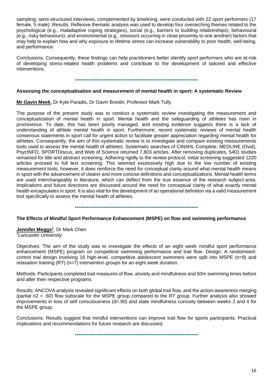sampling, semi-structured interviews, complemented by timelining, were conducted with 22 sport performers (17 female, 5 male). Results: Reflexive thematic analysis was used to develop four overarching themes related to the psychological (e.g., maladaptive coping strategies), social (e.g., barriers to building relationships), behavioural (e.g., risky behaviours), and environmental (e.g., stressors occurring in close proximity to one another) factors that may help to explain how and why exposure to lifetime stress can increase vulnerability to poor health, well-being, and performance.

Conclusions: Consequently, these findings can help practitioners better identify sport performers who are at-risk of developing stress-related health problems and contribute to the development of tailored and effective interventions.

•••••••••••••••••••••••••••••••••••••••••••••••••••••••••••••••••••••••••

# **Assessing the conceptualisation and measurement of mental health in sport: A systematic Review**

**Mr Gavin Meek**, Dr Kyle Paradis, Dr Gavin Breslin, Professor Mark Tully

The purpose of the present study was to conduct a systematic review investigating the measurement and conceptualization of mental health in sport. Mental health and the safeguarding of athletes has risen in prominence. To date, this has been poorly managed, and existing evidence suggests there is a lack of understanding of athlete mental health in sport. Furthermore, recent systematic reviews of mental health consensus statements in sport call for urgent action to facilitate greater appreciation regarding mental health for athletes. Consequently, the aim of this systematic review is to investigate and compare existing measurements tools used to assess the mental health of athletes. Systematic searches of CINAHL Complete, MEDLINE (Ovid), PsycINFO, SPORTDiscus, and Web of Science returned 7,803 articles. After removing duplicates, 5401 studies remained for title and abstract screening. Adhering rigidly to the review protocol, initial screening suggested 1220 articles proceed to full text screening. This seemed excessively high due to the low number of existing measurement tools, however, it does reinforce the need for conceptual clarity around what mental health means in sport with the advancement of clearer and more concise definitions and conceptualizations. Mental health terms are used interchangeably in literature, which can deflect from the true essence of the research subject-area. Implications and future directions are discussed around the need for conceptual clarity of what exactly mental health encapsulates in sport. It is also vital for the development of an operational definition via a valid measurement tool specifically to assess the mental health of athletes.

•••••••••••••••••••••••••••••••••••••••••••••••••••••••••••••••••••••••••

## **The Effects of Mindful Sport Performance Enhancement (MSPE) on flow and swimming performance**

**Jennifer Meggs<sup>1</sup>** , Dr Mark Chen *<sup>1</sup>Lancaster University*

Objectives: The aim of the study was to investigate the effects of an eight week mindful sport performance enhancement (MSPE) program on competitive swimming performance and trait flow. Design: A randomisedcontrol trial design involving 16 high-level, competitive adolescent swimmers were split into MSPE (n=9) and relaxation training (RT) (n=7) intervention groups for an eight week duration.

Methods: Participants completed trait measures of flow, anxiety and mindfulness and 50m swimming times before and after their respective programs.

Results: ANCOVA analysis revealed significant effects on both global trait flow, and the action-awareness merging (partial n2 = .60) flow subscale for the MSPE group compared to the RT group. Further analysis also showed improvements in loss of self consciousness (d=.90) and state mindfulness curiosity between weeks 2 and 4 for the MSPE group.

Conclusions: Results suggest that mindful interventions can improve trait flow for sports participants. Practical implications and recommendations for future research are discussed.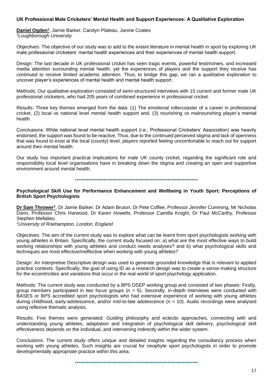#### **UK Professional Male Cricketers' Mental Health and Support Experiences: A Qualitative Exploration**

**Daniel Ogden<sup>1</sup>** , Jamie Barker, Carolyn Plateau, Janine Coates *<sup>1</sup>Loughborough University*

Objectives: The objective of our study was to add to the extant literature in mental health in sport by exploring UK male professional cricketers' mental health experiences and their experiences of mental health support.

Design: The last decade in UK professional cricket has seen tragic events, powerful testimonies, and increased media attention surrounding mental health, yet the experiences of players and the support they receive has continued to receive limited academic attention. Thus, to bridge this gap, we ran a qualitative exploration to uncover player's experiences of mental health and mental health support.

Methods: Our qualitative exploration consisted of semi-structured interviews with 15 current and former male UK professional cricketers, who had 205 years of combined experience in professional cricket.

Results: Three key themes emerged from the data: (1) The emotional rollercoaster of a career in professional cricket, (2) local vs national level mental health support and, (3) nourishing vs malnourishing player's mental health.

Conclusions: While national level mental health support (i.e., Professional Cricketers' Association) was heavily endorsed, the support was found to be reactive. Thus, due to the continued perceived stigma and lack of openness that was found to exist at the local (county) level, players reported feeling uncomfortable to reach out for support around their mental health.

Our study has important practical implications for male UK county cricket, regarding the significant role and responsibility local level organisations have in breaking down the stigma and creating an open and supportive environment around mental health.

•••••••••••••••••••••••••••••••••••••••••••••••••••••••••••••••••••••••••

#### **Psychological Skill Use for Performance Enhancement and Wellbeing in Youth Sport: Perceptions of British Sport Psychologists**

**Dr Sam Thrower<sup>1</sup>**, Dr Jamie Barker, Dr Adam Bruton, Dr Pete Coffee, Professor Jennifer Cumming, Mr Nicholas Dann, Professor Chris Harwood, Dr Karen Howells, Professor Camilla Knight, Dr Paul McCarthy, Professor Stephen Mellalieu

*<sup>1</sup>University of Roehampton, London, England*

Objectives: The aim of the current study was to explore what can be learnt from sport psychologists working with young athletes in Britain. Specifically, the current study focused on: a) what are the most effective ways to build working relationships with young athletes and conduct needs analyses? and b) what psychological skills and techniques are most effective/ineffective when working with young athletes?

Design: An Interpretive Descriptive design was used to generate grounded knowledge that is relevant to applied practice contexts. Specifically, the goal of using ID as a research design was to create a sense-making structure for the eccentricities and variations that occur in the real world of sport psychology application.

Methods: The current study was conducted by a BPS DSEP working group and consisted of two phases: Firstly, group members participated in two focus groups ( $n = 6$ ). Secondly, in-depth interviews were conducted with BASES or BPS accredited sport psychologists who had extensive experience of working with young athletes during childhood, early-adolescence, and/or mid-to-late adolescence (n = 10). Audio recordings were analysed using reflexive thematic analysis.

Results: Five themes were generated: Guiding philosophy and eclectic approaches, connecting with and understanding young athletes, adaptation and integration of psychological skill delivery, psychological skill effectiveness depends on the individual, and intervening indirectly within the wider system.

Conclusions: The current study offers unique and detailed insights regarding the consultancy process when working with young athletes. Such insights are crucial for neophyte sport psychologists in order to promote developmentally appropriate practice within this area.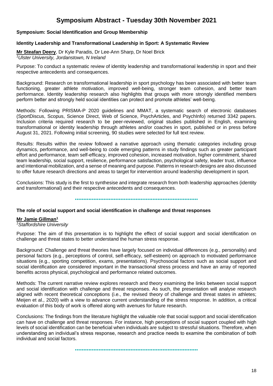# **Symposium Abstract - Tuesday 30th November 2021**

## **Symposium: Social Identification and Group Membership**

#### **Identity Leadership and Transformational Leadership in Sport: A Systematic Review**

**Mr Steafan Deery**, Dr Kyle Paradis, Dr Lee-Ann Sharp, Dr Noel Brick *<sup>1</sup>Ulster University, Jordanstown, N Ireland*

Purpose: To conduct a systematic review of identity leadership and transformational leadership in sport and their respective antecedents and consequences.

Background: Research on transformational leadership in sport psychology has been associated with better team functioning, greater athlete motivation, improved well-being, stronger team cohesion, and better team performance. Identity leadership research also highlights that groups with more strongly identified members perform better and strongly held social identities can protect and promote athletes' well-being.

Methods: Following PRISMA-P 2020 guidelines and MMAT, a systematic search of electronic databases (SportDiscus, Scopus, Science Direct, Web of Science, PsychArticles, and PsychInfo) returned 3342 papers. Inclusion criteria required research to be peer-reviewed, original studies published in English, examining transformational or identity leadership through athletes and/or coaches in sport, published or in press before August 31, 2021. Following initial screening, 90 studies were selected for full text review.

Results: Results within the review followed a narrative approach using thematic categories including group dynamics, performance, and well-being to code emerging patterns in study findings such as greater participant effort and performance, team self-efficacy, improved cohesion, increased motivation, higher commitment, shared team leadership, social support, resilience, performance satisfaction, psychological safety, leader trust, influence and intentional mobilization, and a sense of meaning and purpose. Patterns in research designs are also discussed to offer future research directions and areas to target for intervention around leadership development in sport.

Conclusions: This study is the first to synthesise and integrate research from both leadership approaches (identity and transformational) and their respective antecedents and consequences.

•••••••••••••••••••••••••••••••••••••••••••••••••••••••••••••••••••••••••

#### **The role of social support and social identification in challenge and threat responses**

## **Mr Jamie Gillman<sup>1</sup>**

*<sup>1</sup>Staffordshire University*

Purpose: The aim of this presentation is to highlight the effect of social support and social identification on challenge and threat states to better understand the human stress response.

Background: Challenge and threat theories have largely focused on individual differences (e.g., personality) and personal factors (e.g., perceptions of control, self-efficacy, self-esteem) on approach to motivated performance situations (e.g., sporting competition, exams, presentations). Psychosocial factors such as social support and social identification are considered important in the transactional stress process and have an array of reported benefits across physical, psychological and performance related outcomes.

Methods: The current narrative review explores research and theory examining the links between social support and social identification with challenge and threat responses. As such, the presentation will analyse research aligned with recent theoretical conceptions (i.e., the revised theory of challenge and threat states in athletes; Meijen et al., 2020) with a view to advance current understanding of the stress response. In addition, a critical evaluation of this body of work is offered along with avenues for future research.

Conclusions: The findings from the literature highlight the valuable role that social support and social identification can have on challenge and threat responses. For instance, high perceptions of social support coupled with high levels of social identification can be beneficial when individuals are subject to stressful situations. Therefore, when understanding an individual's stress response, research and practice needs to examine the combination of both individual and social factors.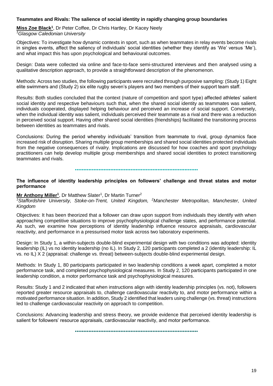#### **Teammates and Rivals: The salience of social identity in rapidly changing group boundaries**

**Miss Zoe Black<sup>1</sup>** , Dr Peter Coffee, Dr Chris Hartley, Dr Kacey Neely *<sup>1</sup>Glasgow Caledonian University* 

Objectives: To investigate how dynamic contexts in sport, such as when teammates in relay events become rivals in singles events, affect the saliency of individuals' social identities (whether they identify as 'We' versus 'Me'), and what impact this has upon psychological and behavioural outcomes.

Design: Data were collected via online and face-to-face semi-structured interviews and then analysed using a qualitative description approach, to provide a straightforward description of the phenomenon.

Methods: Across two studies, the following participants were recruited through purposive sampling: (Study 1) Eight elite swimmers and (Study 2) six elite rugby seven's players and two members of their support team staff.

Results: Both studies concluded that the context (nature of competition and sport type) affected athletes' salient social identity and respective behaviours such that, when the shared social identity as teammates was salient, individuals cooperated, displayed helping behaviour and perceived an increase of social support. Conversely, when the individual identity was salient, individuals perceived their teammate as a rival and there was a reduction in perceived social support. Having other shared social identities (friendships) facilitated the transitioning process between identities as teammates and rivals.

Conclusions: During the period whereby individuals' transition from teammate to rival, group dynamics face increased risk of disruption. Sharing multiple group memberships and shared social identities protected individuals from the negative consequences of rivalry. Implications are discussed for how coaches and sport psychology practitioners can help develop multiple group memberships and shared social identities to protect transitioning teammates and rivals.

•••••••••••••••••••••••••••••••••••••••••••••••••••••••••••••••••••••••••

**The influence of identity leadership principles on followers' challenge and threat states and motor performance**

#### Mr Anthony Miller<sup>1</sup>, Dr Matthew Slater<sup>1</sup>, Dr Martin Turner<sup>2</sup>

<sup>1</sup>**Staffordshire University, Stoke-on-Trent, United Kingdom, <sup>2</sup>Manchester Metropolitan, Manchester, United** *Kingdom*

Objectives: It has been theorized that a follower can draw upon support from individuals they identify with when approaching competitive situations to improve psychophysiological challenge states, and performance potential. As such, we examine how perceptions of identity leadership influence resource appraisals, cardiovascular reactivity, and performance in a pressurised motor task across two laboratory experiments.

Design: In Study 1, a within-subjects double-blind experimental design with two conditions was adopted: identity leadership (IL) vs no identity leadership (no IL). In Study 2, 120 participants completed a 2 (identity leadership: IL vs. no IL) X 2 (appraisal: challenge vs. threat) between-subjects double-blind experimental design.

Methods: In Study 1, 80 participants participated in two leadership conditions a week apart, completed a motor performance task, and completed psychophysiological measures. In Study 2, 120 participants participated in one leadership condition, a motor performance task and psychophysiological measures.

Results: Study 1 and 2 indicated that when instructions align with identity leadership principles (vs. not), followers reported greater resource appraisals to, challenge cardiovascular reactivity to, and motor performance within a motivated performance situation. In addition, Study 2 identified that leaders using challenge (vs. threat) instructions led to challenge cardiovascular reactivity on approach to competition.

Conclusions: Advancing leadership and stress theory, we provide evidence that perceived identity leadership is salient for followers' resource appraisals, cardiovascular reactivity, and motor performance.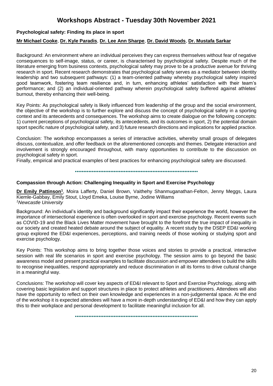# **Workshops Abstract - Tuesday 30th November 2021**

## **Psychological safety: Finding its place in sport**

## **Mr Michael Cooke**, **Dr. Kyle Paradis**, **Dr. Lee Ann Sharpe**, **Dr. David Woods**, **Dr. Mustafa Sarkar**

Background: An environment where an individual perceives they can express themselves without fear of negative consequences to self-image, status, or career, is characterised by psychological safety. Despite much of the literature emerging from business contexts, psychological safety may prove to be a productive avenue for thriving research in sport. Recent research demonstrates that psychological safety serves as a mediator between identity leadership and two subsequent pathways: (1) a team-oriented pathway whereby psychological safety inspired good teamwork, fostering team resilience and, in turn, enhancing athletes' satisfaction with their team's performance; and (2) an individual-oriented pathway wherein psychological safety buffered against athletes' burnout, thereby enhancing their well-being.

Key Points: As psychological safety is likely influenced from leadership of the group and the social environment, the objective of the workshop is to further explore and discuss the concept of psychological safety in a sporting context and its antecedents and consequences. The workshop aims to create dialogue on the following concepts: 1) current perceptions of psychological safety, its antecedents, and its outcomes in sport, 2) the potential domain sport specific nature of psychological safety, and 3) future research directions and implications for applied practice.

Conclusion: The workshop encompasses a series of interactive activities, whereby small groups of delegates discuss, contextualize, and offer feedback on the aforementioned concepts and themes. Delegate interaction and involvement is strongly encouraged throughout, with many opportunities to contribute to the discussion on psychological safety in sport.

Finally, empirical and practical examples of best practices for enhancing psychological safety are discussed.

#### •••••••••••••••••••••••••••••••••••••••••••••••••••••••••••••••••••••••••

#### **Compassion through Action: Challenging Inequality in Sport and Exercise Psychology**

Dr Emily Pattinson<sup>1</sup>, Moira Lafferty, Daniel Brown, Vaithehy Shanmuganathan-Felton, Jenny Meggs, Laura Kiemle-Gabbay, Emily Stout, Lloyd Emeka, Louise Byrne, Jodine Williams *<sup>1</sup>Newcastle University*

Background: An individual's identity and background significantly impact their experience the world, however the importance of intersectional experience is often overlooked in sport and exercise psychology. Recent events such as COVID-19 and the Black Lives Matter movement have brought to the forefront the true impact of inequality in our society and created heated debate around the subject of equality. A recent study by the DSEP ED&I working group explored the ED&I experiences, perceptions, and training needs of those working or studying sport and exercise psychology.

Key Points: This workshop aims to bring together those voices and stories to provide a practical, interactive session with real life scenarios in sport and exercise psychology. The session aims to go beyond the basic awareness model and present practical examples to facilitate discussion and empower attendees to build the skills to recognise inequalities, respond appropriately and reduce discrimination in all its forms to drive cultural change in a meaningful way.

Conclusions: The workshop will cover key aspects of ED&I relevant to Sport and Exercise Psychology, along with covering basic legislation and support structures in place to protect athletes and practitioners. Attendees will also have the opportunity to reflect on their own knowledge and experiences in a non-judgemental space. At the end of the workshop it is expected attendees will have a more in-depth understanding of ED&I and how they can apply this to their workplace and personal development to facilitate meaningful inclusion for all.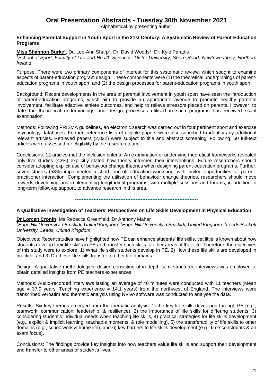# **Oral Presentation Abstracts - Tuesday 30th November 2021**

Alphabetical by presenting author

### **Enhancing Parental Support in Youth Sport in the 21st Century: A Systematic Review of Parent-Education Programs**

Miss Shannon Burke<sup>1</sup>, Dr. Lee-Ann Sharp<sup>1</sup>, Dr. David Woods<sup>1</sup>, Dr. Kyle Paradis<sup>1</sup>

*<sup>1</sup>School of Sport, Faculty of Life and Health Sciences, Ulster University, Shore Road, Newtownabbey, Northern Ireland*

Purpose: There were two primary components of interest for this systematic review, which sought to examine aspects of parent-education program design. These components were (1) the theoretical underpinnings of parenteducation programs in youth sport, and (2) the design processes for parent-education programs in youth sport.

Background: Recent developments in the area of parental involvement in youth sport have seen the introduction of parent-education programs, which aim to provide an appropriate avenue to promote healthy parental involvement, facilitate adaptive athlete outcomes, and help to relieve stressors placed on parents. However, to date the theoretical underpinnings and design processes utilised in such programs has received scant examination.

Methods: Following PRISMA guidelines, an electronic search was carried out in four pertinent sport and exercise psychology databases. Further, reference lists of eligible papers were also searched to identify any additional relevant articles. Retrieved papers (2,822) were subject to title and abstract screening. Following, 60 full-text articles were assessed for eligibility by the research team.

Conclusions: 12 articles met the inclusion criteria. An examination of underlying theoretical frameworks revealed only five studies (42%) explicitly stated how theory informed their interventions. Future researchers should consider adopting explicit use of behaviour change theories when designing parent-education programs. Further, seven studies (58%) implemented a short, one-off education workshop, with limited opportunities for parentpractitioner interaction. Complementing the utilisation of behaviour change theories, researchers should move towards developing and implementing longitudinal programs, with multiple sessions and forums, in addition to long-term follow-up support, to advance research in this area.

•••••••••••••••••••••••••••••••••••••••••••••••••••••••••••••••••••••••••

## **A Qualitative Investigation of Teachers' Perspectives on Life Skills Development in Physical Education**

#### **Dr Lorcan Cronin**, Ms Rebecca Greenfield, Dr Anthony Maher

*<sup>1</sup>Edge Hill University, Ormskirk, United Kingdom, <sup>2</sup>Edge Hill University, Ormskirk, United Kingdom, <sup>3</sup>Leeds Beckett University, Leeds, United Kingdom*

Objectives: Recent studies have highlighted how PE can enhance students' life skills, yet little is known about how students develop their life skills in PE and transfer such skills to other areas of their life. Therefore, the objectives of this study were to explore: 1) What life skills students develop in PE, 2) How these life skills are developed in practice, and 3) Do these life skills transfer to other life domains.

Design: A qualitative methodological design consisting of in-depth semi-structured interviews was employed to obtain detailed insights from PE teachers experiences.

Methods: Audio-recorded interviews lasting an average of 40 minutes were conducted with 11 teachers (Mean age = 37.9 years; Teaching experience = 14.1 years) from the northwest of England. The interviews were transcribed verbatim and thematic analysis using NVivo software was conducted to analyse the data.

Results: Six key themes emerged from the thematic analysis: 1) the key life skills developed through PE (e.g., teamwork, communication, leadership, & resilience), 2) the importance of life skills for differing students, 3) considering student's individual needs when teaching life skills, 4) practical strategies for life skills development (e.g., explicit & implicit learning, teachable moments, & role modelling), 5) the transferability of life skills to other domains (e.g., schoolwork & home life), and 6) key barriers to life skills development (e.g., time constraints & an exam focus).

Conclusions: The findings provide key insights into how teachers value life skills and support their development and transfer to other areas of student's lives.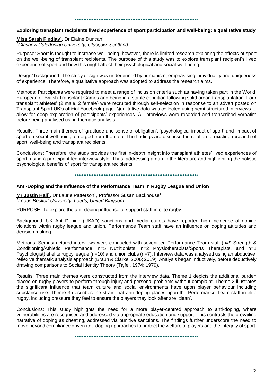#### •••••••••••••••••••••••••••••••••••••••••••••••••••••••••••••••••••••••••

#### **Exploring transplant recipients lived experience of sport participation and well-being: a qualitative study**

**Miss Sarah Findlay<sup>1</sup>** , Dr Elaine Duncan<sup>1</sup> *<sup>1</sup>Glasgow Caledonian University, Glasgow, Scotland*

Purpose: Sport is thought to increase well-being, however, there is limited research exploring the effects of sport on the well-being of transplant recipients. The purpose of this study was to explore transplant recipient's lived experience of sport and how this might affect their psychological and social well-being.

Design/ background: The study design was underpinned by humanism, emphasising individuality and uniqueness of experience. Therefore, a qualitative approach was adopted to address the research aims.

Methods: Participants were required to meet a range of inclusion criteria such as having taken part in the World, European or British Transplant Games and being in a stable condition following solid organ transplantation. Four transplant athletes' (2 male, 2 female) were recruited through self-selection in response to an advert posted on Transplant Sport UK's official Facebook page. Qualitative data was collected using semi-structured interviews to allow for deep exploration of participants' experiences. All interviews were recorded and transcribed verbatim before being analysed using thematic analysis.

Results: Three main themes of 'gratitude and sense of obligation', 'psychological impact of sport' and 'impact of sport on social well-being' emerged from the data. The findings are discussed in relation to existing research of sport, well-being and transplant recipients.

Conclusions: Therefore, the study provides the first in-depth insight into transplant athletes' lived experiences of sport, using a participant-led interview style. Thus, addressing a gap in the literature and highlighting the holistic psychological benefits of sport for transplant recipients.

•••••••••••••••••••••••••••••••••••••••••••••••••••••••••••••••••••••••••

#### **Anti-Doping and the Influence of the Performance Team in Rugby League and Union**

**Mr Justin Hall<sup>1</sup>**, Dr Laurie Patterson<sup>1</sup>, Professor Susan Backhouse<sup>1</sup> *<sup>1</sup>Leeds Beckett University, Leeds, United Kingdom*

PURPOSE: To explore the anti-doping influence of support staff in elite rugby.

Background: UK Anti-Doping (UKAD) sanctions and media outlets have reported high incidence of doping violations within rugby league and union. Performance Team staff have an influence on doping attitudes and decision making.

Methods: Semi-structured interviews were conducted with seventeen Performance Team staff (n=9 Strength & Conditioning/Athletic Performance, n=5 Nutritionists, n=2 Physiotherapists/Sports Therapists, and n=1 Psychologist) at elite rugby league (n=10) and union clubs (n=7). Interview data was analysed using an abductive, reflexive thematic analysis approach (Braun & Clarke, 2006; 2019). Analysis began inductively, before deductively drawing comparisons to Social Identity Theory (Tajfel, 1974; 1979).

Results: Three main themes were constructed from the interview data. Theme 1 depicts the additional burden placed on rugby players to perform through injury and personal problems without complaint. Theme 2 illustrates the significant influence that team culture and social environments have upon player behaviour including substance use. Theme 3 describes the strain that anti-doping places upon the Performance Team staff in elite rugby, including pressure they feel to ensure the players they look after are 'clean'.

Conclusions: This study highlights the need for a more player-centred approach to anti-doping, where vulnerabilities are recognised and addressed via appropriate education and support. This contrasts the prevailing narrative of doping as cheating, addressed via punitive sanctions. The findings further underscore the need to move beyond compliance driven anti-doping approaches to protect the welfare of players and the integrity of sport.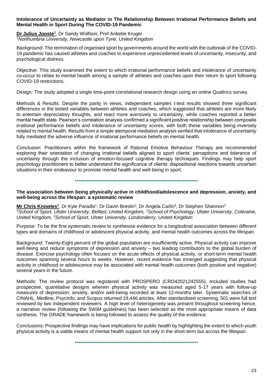#### **Intolerance of Uncertainty as Mediator in The Relationship Between Irrational Performance Beliefs and Mental Health in Sport During The COVID-19 Pandemic**

**Dr Julius Jooste<sup>1</sup>**, Dr Sandy Wolfson, Prof Ankebe Kruger *<sup>1</sup>Northumbria University, Newcastle upon Tyne, United Kingdom*

Background: The termination of organised sport by governments around the world with the outbreak of the COVID-19 pandemic has caused athletes and coaches to experience unprecedented levels of uncertainty, insecurity, and psychological distress.

Objective: This study examined the extent to which irrational performance beliefs and intolerance of uncertainty co-occur to relate to mental health among a sample of athletes and coaches upon their return to sport following COVID-19 restrictions.

Design: The study adopted a single time-point correlational research design using an online Qualtrics survey.

Methods & Results: Despite the parity in views, independent samples t-test results showed three significant differences in the tested variables between athletes and coaches, which suggested that athletes are more likely to entertain depreciatory thoughts, and react more aversively to uncertainty, while coaches reported a better mental health state. Pearson's correlation analysis confirmed a significant positive relationship between composite irrational performance beliefs and intolerance of uncertainty scores, with both these variables being inversely related to mental health. Results from a simple atemporal mediation analysis verified that intolerance of uncertainty fully mediated the adverse influence of irrational performance beliefs on mental health.

Conclusion: Practitioners within the framework of Rational Emotive Behaviour Therapy are recommended exploring their orientation of changing irrational beliefs aligned to sport clients' perceptions and tolerance of uncertainty through the inclusion of emotion-focused cognitive therapy techniques. Findings may help sport psychology practitioners to better understand the significance of clients' dispositional reactions towards uncertain situations in their endeavour to promote mental health and well-being in sport.

•••••••••••••••••••••••••••••••••••••••••••••••••••••••••••••••••••••••••

**The association between being physically active in childhood/adolescence and depression, anxiety, and well-being across the lifespan: a systematic review**

**Mr Chris Knowles<sup>1</sup>, Dr Kyle Paradis<sup>1</sup>, Dr Gavin Breslin<sup>2</sup>, Dr Angela Carlin<sup>3</sup>, Dr Stephen Shannon<sup>3</sup>** <sup>7</sup>*School of Sport, Ulster University, Belfast, United Kingdom, <sup>2</sup><i>School of Psychology, Ulster University, Coleraine, United Kingdom, <sup>3</sup>School of Sport, Ulster University, Londonderry, United Kingdom*

Purpose: To be the first systematic review to synthesise evidence for a longitudinal association between different types and domains of childhood or adolescent physical activity, and mental health outcomes across the lifespan.

Background: Twenty-Eight percent of the global population are insufficiently active. Physical activity can improve well-being and reduce symptoms of depression and anxiety – two leading contributors to the global burden of disease. Exercise psychology often focuses on the acute effects of physical activity, or short-term mental health outcomes spanning several hours to weeks. However, recent evidence has emerged suggesting that physical activity in childhood or adolescence may be associated with mental health outcomes (both positive and negative) several years in the future.

Methods: The review protocol was registered with PROSPERO (CRD42021242555). Included studies had prospective, quantitative designs wherein physical activity was measured aged 5-17 years with follow-up measures of depression, anxiety, and/or well-being recorded at least 12-months later. Systematic searches of CINAHL, Medline, PsycInfo, and Scopus returned 19,446 articles. After standardised screening, 501 were full text reviewed by two independent reviewers. A high level of heterogeneity was present throughout screening hence, a narrative review (following the SWiM guidelines) has been selected as the most appropriate means of data synthesis. The GRADE framework is being followed to assess the quality of the evidence.

Conclusions: Prospective findings may have implications for public health by highlighting the extent to which youth physical activity is a viable means of mental health support not only in the short-term but across the lifespan.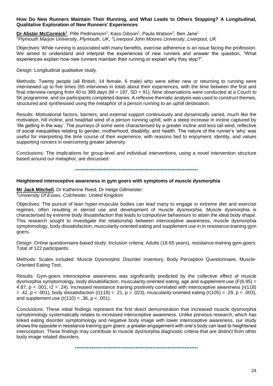#### **How Do New Runners Maintain Their Running, and What Leads to Others Stopping? A Longitudinal, Qualitative Exploration of New Runners' Experiences**

**Dr Alister McCormick<sup>1</sup>, Pille Pedmanson<sup>1</sup>, Kass Gibson<sup>1</sup>, Paula Watson<sup>2</sup>, Ben Jane<sup>1</sup>** *<sup>1</sup>Plymouth Marjon University, Plymouth, UK, <sup>2</sup>Liverpool John Moores University, Liverpool, UK*

Objectives: While running is associated with many benefits, exercise adherence is an issue facing the profession. We aimed to understand and interpret the experiences of new runners and answer the question, "What experiences explain how new runners maintain their running or explain why they stop?".

Design: Longitudinal qualitative study.

Methods: Twenty people (all British, 14 female, 6 male) who were either new or returning to running were interviewed up to five times (65 interviews in total) about their experiences, with the time between the first and final interview ranging from 40 to 389 days (M = 197, SD = 91). Nine observations were conducted at a Couch to 5K programme, and six participants completed diaries. A reflexive thematic analysis was used to construct themes, structured and synthesised using the metaphor of a person running to an uphill destination.

Results: Motivational factors, barriers, and external support continuously and dynamically varied, much like the motivation, hill incline, and head/tail wind of a person running uphill, with a steep increase in incline captured by 'life getting in the way'. The journeys of some were characterised by a greater incline and less tail wind, reflective of social inequalities relating to gender, motherhood, disability, and health. The nature of the runner's 'why' was useful for interpreting the time course of their experience, with reasons tied to enjoyment, identity, and values supporting runners in overcoming greater adversity.

Conclusions: The implications for group-level and individual interventions, using a novel intervention structure based around our metaphor, are discussed.

•••••••••••••••••••••••••••••••••••••••••••••••••••••••••••••••••••••••••

#### **Heightened interoceptive awareness in gym goers with symptoms of muscle dysmorphia**

**Mr Jack Mitchell**, Dr Katherine Reed, Dr Helge Gillmeister *<sup>1</sup>University Of Essex, Colchester, United Kingdom*

Objectives: The pursuit of lean hyper-muscular bodies can lead many to engage in extreme diet and exercise regimes, often resulting in steroid use and development of muscle dysmorphia. Muscle dysmorphia is characterised by extreme body dissatisfaction that leads to compulsive behaviours to attain the ideal body shape. This research sought to investigate the relationship between interoceptive awareness, muscle dysmorphia symptomology, body dissatisfaction, muscularity-oriented eating and supplement use in in resistance-training gym goers.

Design: Online questionnaire-based study. Inclusion criteria: Adults (18-65 years), resistance-training gym-goers. Total of 122 participants.

Methods: Scales included: Muscle Dysmorphic Disorder Inventory, Body Perception Questionnaire, Muscle-Oriented Eating Test.

Results: Gym-goers interoceptive awareness was significantly predicted by the collective effect of muscle dysmorphia symptomology, body dissatisfaction, muscularity-oriented eating, age and supplement use (F(6,95) = 4.87, p = .001, r2 = .24). Increased resistance training positively correlated with interoceptive awareness (r(118)  $= .42$ , p <  $.001$ ), body dissatisfaction (r(118) =  $.21$ , p =  $.023$ ), muscularity-oriented eating (r(105) =  $.29$ , p =  $.003$ ), and supplement use  $(r(110) = .36, p < .001)$ .

Conclusions: These initial findings represent the first direct demonstration that increased muscle dysmorphia symptomology systematically relates to increased interoceptive awareness. Unlike previous research, which has linked eating disorder symptomology and negative body image with lower interoceptive awareness, our study shows the opposite in resistance training gym goers: a greater engagement with one's body can lead to heightened interoception. These findings may contribute to muscle dysmorphia diagnostic criteria that are distinct from other body image related disorders.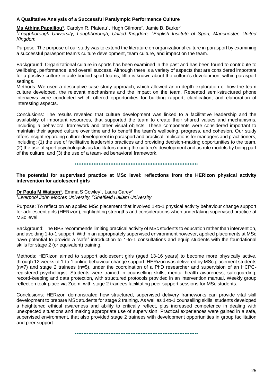## **A Qualitative Analysis of a Successful Paralympic Performance Culture**

**Ms Athina Papailiou<sup>1</sup>**, Carolyn R. Plateau<sup>1</sup>, Hugh Gilmore<sup>2</sup>, Jamie B. Barker<sup>1</sup>

<sup>1</sup>*Loughborough University, Loughborough, United Kingdom, <sup>2</sup><i>English Institute of Sport, Manchester, United Kingdom*

Purpose: The purpose of our study was to extend the literature on organizational culture in parasport by examining a successful parasport team's culture development, team culture, and impact on the team.

Background: Organizational culture in sports has been examined in the past and has been found to contribute to wellbeing, performance, and overall success. Although there is a variety of aspects that are considered important for a positive culture in able-bodied sport teams, little is known about the culture's development within parasport settings.

Methods: We used a descriptive case study approach, which allowed an in-depth exploration of how the team culture developed, the relevant mechanisms and the impact on the team. Repeated semi-structured phone interviews were conducted which offered opportunities for building rapport, clarification, and elaboration of interesting aspects.

Conclusions: The results revealed that culture development was linked to a facilitative leadership and the availability of important resources, that supported the team to create their shared values and mechanisms, including a behavioral framework and other visual objects. These components were considered important to maintain their agreed culture over time and to benefit the team's wellbeing, progress, and cohesion. Our study offers insight regarding culture development in parasport and practical implications for managers and practitioners, including: (1) the use of facilitative leadership practices and providing decision-making opportunities to the team, (2) the use of sport psychologists as facilitators during the culture's development and as role models by being part of the culture, and (3) the use of a team-led behavioral framework.

#### •••••••••••••••••••••••••••••••••••••••••••••••••••••••••••••••••••••••••

**The potential for supervised practice at MSc level: reflections from the HERizon physical activity intervention for adolescent girls**

**Dr Paula M Watson<sup>1</sup>, Emma S Cowley<sup>1</sup>, Laura Carey<sup>2</sup>** *<sup>1</sup>Liverpool John Moores University, <sup>2</sup>Sheffield Hallam University*

Purpose: To reflect on an applied MSc placement that involved 1-to-1 physical activity behaviour change support for adolescent girls (HERizon), highlighting strengths and considerations when undertaking supervised practice at MSc level.

Background: The BPS recommends limiting practical activity of MSc students to education rather than intervention, and avoiding 1-to-1 support. Within an appropriately supervised environment however, applied placements at MSc have potential to provide a "safe" introduction to 1-to-1 consultations and equip students with the foundational skills for stage 2 (or equivalent) training.

Methods: HERizon aimed to support adolescent girls (aged 13-16 years) to become more physically active, through 12 weeks of 1-to-1 online behaviour change support. HERizon was delivered by MSc placement students (n=7) and stage 2 trainees (n=5), under the coordination of a PhD researcher and supervision of an HCPCregistered psychologist. Students were trained in counselling skills, mental health awareness, safeguarding, record-keeping and data protection, with structured protocols provided in an intervention manual. Weekly group reflection took place via Zoom, with stage 2 trainees facilitating peer support sessions for MSc students.

Conclusions: HERizon demonstrated how structured, supervised delivery frameworks can provide vital skill development to prepare MSc students for stage 2 training. As well as 1-to-1 counselling skills, students developed a heightened ethical awareness and ability to critically reflect, plus increased competence in dealing with unexpected situations and making appropriate use of supervision. Practical experiences were gained in a safe, supervised environment, that also provided stage 2 trainees with development opportunities in group facilitation and peer support.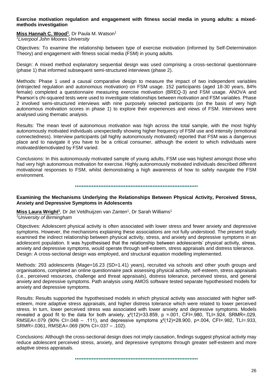#### **Exercise motivation regulation and engagement with fitness social media in young adults: a mixedmethods investigation**

# **Miss Hannah C. Wood<sup>1</sup>** , Dr Paula M. Watson<sup>1</sup>

*<sup>1</sup>Liverpool John Moores University*

Objectives: To examine the relationship between type of exercise motivation (informed by Self-Determination Theory) and engagement with fitness social media (FSM) in young adults.

Design: A mixed method explanatory sequential design was used comprising a cross-sectional questionnaire (phase 1) that informed subsequent semi-structured interviews (phase 2).

Methods: Phase 1 used a causal comparative design to measure the impact of two independent variables (introjected regulation and autonomous motivation) on FSM usage. 152 participants (aged 18-30 years, 84% female) completed a questionnaire measuring exercise motivation (BREQ-3) and FSM usage. ANOVA and Pearson's chi-squared tests were used to investigate relationships between motivation and FSM variables. Phase 2 involved semi-structured interviews with nine purposely selected participants (on the basis of very high autonomous motivation scores in phase 1) to explore their experiences and views of FSM. Interviews were analysed using thematic analysis.

Results: The mean level of autonomous motivation was high across the total sample, with the most highly autonomously motivated individuals unexpectedly showing higher frequency of FSM use and intensity (emotional connectedness). Interview participants (all highly autonomously motivated) reported that FSM was a dangerous place and to navigate it you have to be a critical consumer, although the extent to which individuals were motivated/demotivated by FSM varied.

Conclusions: In this autonomously motivated sample of young adults, FSM use was highest amongst those who had very high autonomous motivation for exercise. Highly autonomously motivated individuals described different motivational responses to FSM, whilst demonstrating a high awareness of how to safely navigate the FSM environment.

#### •••••••••••••••••••••••••••••••••••••••••••••••••••••••••••••••••••••••••

## **Examining the Mechanisms Underlying the Relationships Between Physical Activity, Perceived Stress, Anxiety and Depressive Symptoms in Adolescents**

**Miss Laura Wright<sup>1</sup>**, Dr Jet Veldhuijzen van Zanten<sup>1</sup>, Dr Sarah Williams<sup>1</sup> *<sup>1</sup>University of Birmingham* 

Objectives: Adolescent physical activity is often associated with lower stress and fewer anxiety and depressive symptoms. However, the mechanisms explaining these associations are not fully understood. The present study

examined the indirect relationship between physical activity, stress, and anxiety and depressive symptoms in an adolescent population. It was hypothesised that the relationship between adolescents' physical activity, stress, anxiety and depressive symptoms, would operate through self-esteem, stress appraisals and distress tolerance. Design: A cross-sectional design was employed, and structural equation modelling implemented.

Methods: 293 adolescents (Mage=16.23 (SD=1.41) years), recruited via schools and other youth groups and organisations, completed an online questionnaire pack assessing physical activity, self-esteem, stress appraisals (i.e., perceived resources, challenge and threat appraisals), distress tolerance, perceived stress, and general anxiety and depressive symptoms. Path analysis using AMOS software tested separate hypothesised models for anxiety and depressive symptoms.

Results: Results supported the hypothesised models in which physical activity was associated with higher selfesteem, more adaptive stress appraisals, and higher distress tolerance which were related to lower perceived stress. In turn, lower perceived stress was associated with lower anxiety and depressive symptoms. Models revealed a good fit to the data for both anxiety,  $\chi^2(12)=33.859$ , p =.001, CFI=.980, TLI=.924, SRMR=.029, RMSEA=.079 (90% CI=.048 – .111), and depressive symptoms  $\chi^2(12)=28.900$ , p=.004, CFI=.982, TLI=.933, SRMR=.0361, RMSEA=.069 (90% CI=.037 – .102).

Conclusions: Although the cross-sectional design does not imply causation, findings suggest physical activity may reduce adolescent perceived stress, anxiety, and depressive symptoms through greater self-esteem and more adaptive stress appraisals.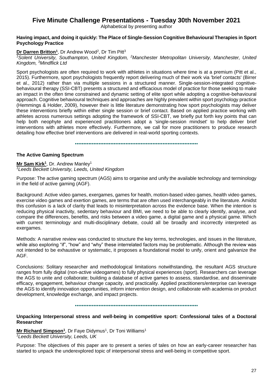# **Five Minute Challenge Presentations - Tuesday 30th November 2021**

Alphabetical by presenting author

## **Having impact, and doing it quickly: The Place of Single-Session Cognitive Behavioural Therapies in Sport Psychology Practice**

## **Dr Darren Britton<sup>1</sup>**, Dr Andrew Wood<sup>2</sup>, Dr Tim Pitt<sup>3</sup>

*<sup>1</sup>Solent University, Southampton, United Kingdom, <sup>2</sup>Manchester Metropolitan University, Manchester, United Kingdom, <sup>3</sup>Mindflick Ltd*

Sport psychologists are often required to work with athletes in situations where time is at a premium (Pitt et al., 2015). Furthermore, sport psychologists frequently report delivering much of their work via 'brief contacts' (Birrer et al., 2012) rather than via multiple sessions in a structured manner. Single-session-integrated cognitivebehavioural therapy (SSI-CBT) presents a structured and efficacious model of practice for those seeking to make an impact in the often time constrained and dynamic setting of elite sport while adopting a cognitive-behavioural approach. Cognitive behavioural techniques and approaches are highly prevalent within sport psychology practice (Hemmings & Holder, 2009), however their is little literature demonstrating how sport psychologists may deliver these interventions briefly within either single session or brief contact. Based on applied practice working with athletes across numerous settings adopting the framework of SSI-CBT, we briefly put forth key points that can help both neophyte and experienced practitioners adopt a 'single-session mindset' to help deliver brief interventions with athletes more effectively. Furthermore, we call for more practitioners to produce research detailing how effective brief interventions are delivered in real-world sporting contexts.

•••••••••••••••••••••••••••••••••••••••••••••••••••••••••••••••••••••••••

## **The Active Gaming Spectrum**

**Mr Sam Kirk<sup>1</sup>** , Dr. Andrew Manley<sup>1</sup> *<sup>1</sup>Leeds Beckett University, Leeds, United Kingdom*

Purpose: The active gaming spectrum (AGS) aims to organise and unify the available technology and terminology in the field of active gaming (AGF).

Background: Active video games, exergames, games for health, motion-based video games, health video games, exercise video games and exertion games, are terms that are often used interchangeably in the literature. Amidst this confusion is a lack of clarity that leads to misinterpretation across the evidence base. When the intention is reducing physical inactivity, sedentary behaviour and BMI, we need to be able to clearly identify, analyse, and compare the differences, benefits, and risks between a video game, a digital game and a physical game. Which with current terminology and multi-disciplinary debate, could all be broadly and incorrectly interpreted as exergames.

Methods: A narrative review was conducted to structure the key terms, technologies, and issues in the literature, while also exploring "if", "how" and "why" these interrelated factors may be problematic. Although the review was not intended to be exhaustive or systematic, it proposes a foundational model to unify, orient and galvanize the AGF.

Conclusions: Solitary researcher and methodological limitations notwithstanding, the resultant AGS structure ranges from fully digital (non-active videogames) to fully physical experiences (sport). Researchers can leverage the AGS to unite and collaborate; building a database of active games to assess, standardise, and disseminate efficacy, engagement, behaviour change capacity, and practicality. Applied practitioners/enterprise can leverage the AGS to identify innovation opportunities, inform intervention design, and collaborate with academia on product development, knowledge exchange, and impact projects.

#### •••••••••••••••••••••••••••••••••••••••••••••••••••••••••••••••••••••••••

## **Unpacking Interpersonal stress and well-being in competitive sport: Confessional tales of a Doctoral Researcher**

**Mr Richard Simpson<sup>1</sup>**, Dr Faye Didymus<sup>1</sup>, Dr Toni Williams<sup>1</sup> *<sup>1</sup>Leeds Beckett University, Leeds, UK*

Purpose: The objectives of this paper are to present a series of tales on how an early-career researcher has started to unpack the underexplored topic of interpersonal stress and well-being in competitive sport.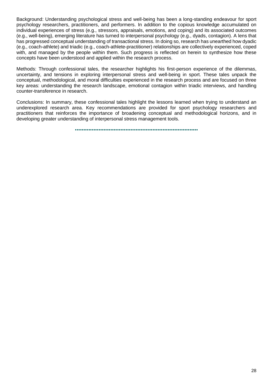Background: Understanding psychological stress and well-being has been a long-standing endeavour for sport psychology researchers, practitioners, and performers. In addition to the copious knowledge accumulated on individual experiences of stress (e.g., stressors, appraisals, emotions, and coping) and its associated outcomes (e.g., well-being), emerging literature has turned to interpersonal psychology (e.g., dyads, contagion). A lens that has progressed conceptual understanding of transactional stress. In doing so, research has unearthed how dyadic (e.g., coach-athlete) and triadic (e.g., coach-athlete-practitioner) relationships are collectively experienced, coped with, and managed by the people within them. Such progress is reflected on herein to synthesize how these concepts have been understood and applied within the research process.

Methods: Through confessional tales, the researcher highlights his first-person experience of the dilemmas, uncertainty, and tensions in exploring interpersonal stress and well-being in sport. These tales unpack the conceptual, methodological, and moral difficulties experienced in the research process and are focused on three key areas: understanding the research landscape, emotional contagion within triadic interviews, and handling counter-transference in research.

Conclusions: In summary, these confessional tales highlight the lessons learned when trying to understand an underexplored research area. Key recommendations are provided for sport psychology researchers and practitioners that reinforces the importance of broadening conceptual and methodological horizons, and in developing greater understanding of interpersonal stress management tools.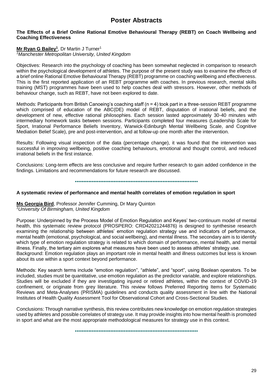# **Poster Abstracts**

#### **The Effects of a Brief Online Rational Emotive Behavioural Therapy (REBT) on Coach Wellbeing and Coaching Effectiveness**

## **Mr Ryan G Bailey<sup>1</sup>** , Dr Martin J Turner<sup>1</sup>

*<sup>1</sup>Manchester Metropolitan University, United Kingdom*

Objectives: Research into the psychology of coaching has been somewhat neglected in comparison to research within the psychological development of athletes. The purpose of the present study was to examine the effects of a brief online Rational Emotive Behavioural Therapy (REBT) programme on coaching wellbeing and effectiveness. This is the first reported application of an REBT programme with coaches. In previous research, mental skills training (MST) programmes have been used to help coaches deal with stressors. However, other methods of behaviour change, such as REBT, have not been explored to date.

Methods: Participants from British Canoeing's coaching staff (n = 4) took part in a three-session REBT programme which comprised of education of the ABC(DE) model of REBT, disputation of irrational beliefs, and the development of new, effective rational philosophies. Each session lasted approximately 30-40 minutes with intermediary homework tasks between sessions. Participants completed four measures (Leadership Scale for Sport, Irrational Performance Beliefs Inventory, Warwick-Edinburgh Mental Wellbeing Scale, and Cognitive Mediation Belief Scale), pre and post-intervention, and at follow-up one month after the intervention.

Results: Following visual inspection of the data (percentage change), it was found that the intervention was successful in improving wellbeing, positive coaching behaviours, emotional and thought control, and reduced irrational beliefs in the first instance.

Conclusions: Long-term effects are less conclusive and require further research to gain added confidence in the findings. Limitations and recommendations for future research are discussed.

#### •••••••••••••••••••••••••••••••••••••••••••••••••••••••••••••••••••••••••

#### **A systematic review of performance and mental health correlates of emotion regulation in sport**

## **Ms Georgia Bird**, Professor Jennifer Cumming, Dr Mary Quinton *<sup>1</sup>University Of Birmingham, United Kingdom*

Purpose: Underpinned by the Process Model of Emotion Regulation and Keyes' two-continuum model of mental health, this systematic review protocol (PROSPERO: CRD42021244876) is designed to synthesise research examining the relationship between athletes' emotion regulation strategy use and indicators of performance, mental health (emotional, psychological, and social wellbeing), and mental illness. The secondary aim is to identify which type of emotion regulation strategy is related to which domain of performance, mental health, and mental illness. Finally, the tertiary aim explores what measures have been used to assess athletes' strategy use. Background: Emotion regulation plays an important role in mental health and illness outcomes but less is known about its use within a sport context beyond performance.

Methods: Key search terms include "emotion regulation", "athlete", and "sport", using Boolean operators. To be included, studies must be quantitative, use emotion regulation as the predictor variable, and explore relationships. Studies will be excluded if they are investigating injured or retired athletes, within the context of COVID-19 confinement, or originate from grey literature. This review follows Preferred Reporting Items for Systematic Reviews and Meta-Analyses (PRISMA) guidelines and conducts quality assessment in line with the National Institutes of Health Quality Assessment Tool for Observational Cohort and Cross-Sectional Studies.

Conclusions: Through narrative synthesis, this review contributes new knowledge on emotion regulation strategies used by athletes and possible correlates of strategy use. It may provide insights into how mental health is promoted in sport and what are the most appropriate methodological measures for strategy use in this context.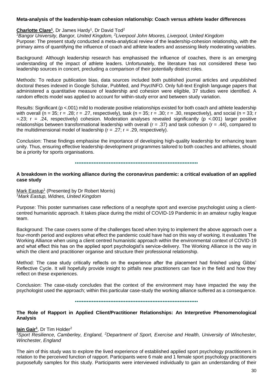#### **Meta-analysis of the leadership-team cohesion relationship: Coach versus athlete leader differences**

#### Charlotte Clare<sup>1</sup>, Dr James Hardy<sup>1</sup>, Dr David Tod<sup>2</sup>

*<sup>1</sup>Bangor University, Bangor, United Kingdom, <sup>2</sup>Liverpool John Moores, Liverpool, United Kingdom*

Purpose: The present study conducted a meta-analytical review of the leadership-cohesion relationship, with the primary aims of quantifying the influence of coach and athlete leaders and assessing likely moderating variables.

Background: Although leadership research has emphasised the influence of coaches, there is an emerging understanding of the impact of athlete leaders. Unfortunately, the literature has not considered these two leadership sources in concert, precluding a comparison of their potentially distinct roles.

Methods: To reduce publication bias, data sources included both published journal articles and unpublished doctoral theses indexed in Google Scholar, PubMed, and PsycINFO. Only full-text English language papers that administered a quantitative measure of leadership and cohesion were eligible, 37 studies were identified. A random effects model was applied to account for within-study error and between study variation.

Results: Significant (p <.001) mild to moderate positive relationships existed for both coach and athlete leadership with overall (n = 35; r = .28; r = .27, respectively), task (n = 35; r = .30; r = .30, respectively), and social (n = 33; r  $=$ .23; r = .24, respectively) cohesion. Moderation analyses revealed significantly ( $p$  <.001) larger positive relationships between transformational leadership with overall ( $r = .37$ ) and task cohesion ( $r = .44$ ), compared to the multidimensional model of leadership  $(r = .27; r = .29)$ , respectively).

Conclusion: These findings emphasise the importance of developing high-quality leadership for enhancing team unity. Thus, ensuring effective leadership development programmes tailored to both coaches and athletes, should be a priority for sports organisations.

#### •••••••••••••••••••••••••••••••••••••••••••••••••••••••••••••••••••••••••

#### **A breakdown in the working alliance during the coronavirus pandemic: a critical evaluation of an applied case study**

Mark Eastup<sup>1</sup> (Presented by Dr Robert Morris) *<sup>1</sup>Mark Eastup, Widnes, United Kingdom*

Purpose: This poster summarises case reflections of a neophyte sport and exercise psychologist using a clientcentred humanistic approach. It takes place during the midst of COVID-19 Pandemic in an amateur rugby league team.

Background: The case covers some of the challenges faced when trying to implement the above approach over a four-month period and explores what effect the pandemic could have had on this way of working. It evaluates The Working Alliance when using a client centred humanistic approach within the environmental context of COVID-19 and what effect this has on the applied sport psychologist's service-delivery. The Working Alliance is the way in which the client and practitioner organise and structure their professional relationship.

Method: The case study critically reflects on the experience after the placement had finished using Gibbs' Reflective Cycle. It will hopefully provide insight to pitfalls new practitioners can face in the field and how they reflect on these experiences.

Conclusion: The case-study concludes that the context of the environment may have impacted the way the psychologist used the approach; within this particular case-study the working alliance suffered as a consequence.

#### •••••••••••••••••••••••••••••••••••••••••••••••••••••••••••••••••••••••••

#### **The Role of Rapport in Applied Client/Practitioner Relationships: An Interpretive Phenomenological Analysis**

#### **Iain Gair<sup>1</sup>** , Dr Tim Holder<sup>2</sup>

*<sup>1</sup>Sport Resilience, Camberley, England, <sup>2</sup>Department of Sport, Exercise and Health, University of Winchester, Winchester, England*

The aim of this study was to explore the lived experience of established applied sport psychology practitioners in relation to the perceived function of rapport. Participants were 6 male and 1 female sport psychology practitioners purposefully samples for this study. Participants were interviewed individually to gain an understanding of their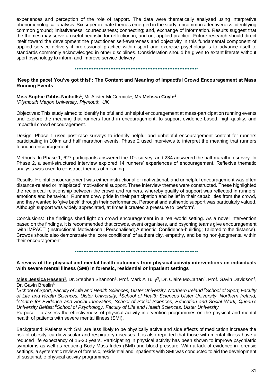experiences and perception of the role of rapport. The data were thematically analysed using interpretive phenomenological analysis. Six superordinate themes emerged in the study: uncommon attentiveness; identifying common ground; imitativeness; courteousness; connecting; and, exchange of information. Results suggest that the themes may serve a useful heuristic for reflection in, and on, applied practice. Future research should direct itself toward the development the practitioner self-awareness and objectivity in this fundamental component of applied service delivery if professional practice within sport and exercise psychology is to advance itself to standards commonly acknowledged in other disciplines. Consideration should be given to extant literate without sport psychology to inform and improve service delivery

•••••••••••••••••••••••••••••••••••••••••••••••••••••••••••••••••••••••••

## **'Keep the pace! You've got this!': The Content and Meaning of Impactful Crowd Encouragement at Mass Running Events**

#### **Miss Sophie Gibbs-Nicholls<sup>1</sup>** , Mr Alister McCormick<sup>1</sup> , **Ms Melissa Coyle<sup>1</sup>** *<sup>1</sup>Plymouth Marjon University, Plymouth, UK*

Objectives: This study aimed to identify helpful and unhelpful encouragement at mass-participation running events and explore the meaning that runners found in encouragement, to support evidence-based, high-quality, and impactful crowd encouragement.

Design: Phase 1 used post-race surveys to identify helpful and unhelpful encouragement content for runners participating in 10km and half marathon events. Phase 2 used interviews to interpret the meaning that runners found in encouragement.

Methods: In Phase 1, 627 participants answered the 10k survey, and 234 answered the half-marathon survey. In Phase 2, a semi-structured interview explored 14 runners' experiences of encouragement. Reflexive thematic analysis was used to construct themes of meaning.

Results: Helpful encouragement was either instructional or motivational, and unhelpful encouragement was often distance-related or 'misplaced' motivational support. Three interview themes were constructed. These highlighted the reciprocal relationship between the crowd and runners, whereby quality of support was reflected in runners' emotions and behaviour. Runners drew pride in their participation and belief in their capabilities from the crowd, and they wanted to 'give back' through their performance. Personal and authentic support was particularly valued. Although support was widely appreciated, at times it created a pressure to 'perform'.

Conclusions: The findings shed light on crowd encouragement in a real-world setting. As a novel intervention based on the findings, it is recommended that crowds, event organisers, and psyching teams give encouragement 'with IMPACT' (Instructional; Motivational; Personalised; Authentic; Confidence-building; Tailored to the distance). Crowds should also demonstrate the 'core conditions' of authenticity, empathy, and being non-judgmental within their encouragement.

•••••••••••••••••••••••••••••••••••••••••••••••••••••••••••••••••••••••••

## **A review of the physical and mental health outcomes from physical activity interventions on individuals with severe mental illness (SMI) in forensic, residential or inpatient settings**

Miss Jessica Hassan<sup>1</sup>, Dr. Stephen Shannon<sup>2</sup>, Prof. Mark A Tully<sup>3</sup>, Dr. Claire McCartan<sup>4</sup>, Prof. Gavin Davidson<sup>4</sup>, Dr. Gavin Breslin<sup>5</sup>

*<sup>1</sup>School of Sport, Faculty of Life and Health Sciences, Ulster University, Northern Ireland <sup>2</sup>School of Sport, Faculty of Life and Health Sciences, Ulster University, <sup>3</sup>School of Health Sciences Ulster University, Northern Ireland, <sup>4</sup>Centre for Evidence and Social Innovation, School of Social Sciences, Education and Social Work, Queen's University Belfast <sup>5</sup>School of Psychology, Faculty of Life and Health Sciences, Ulster University*

Purpose: To assess the effectiveness of physical activity intervention programmes on the physical and mental health of patients with severe mental illness (SMI).

Background: Patients with SMI are less likely to be physically active and side effects of medication increase the risk of obesity, cardiovascular and respiratory diseases. It is also reported that those with mental illness have a reduced life expectancy of 15-20 years. Participating in physical activity has been shown to improve psychiatric symptoms as well as reducing Body Mass Index (BMI) and blood pressure. With a lack of evidence in forensic settings, a systematic review of forensic, residential and inpatients with SMI was conducted to aid the development of sustainable physical activity programmes.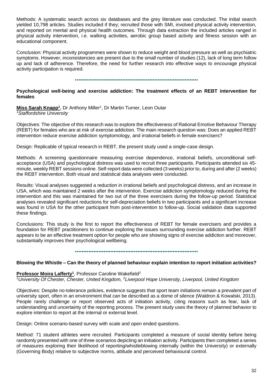Methods: A systematic search across six databases and the grey literature was conducted. The initial search yielded 10,798 articles. Studies included if they; recruited those with SMI, involved physical activity intervention, and reported on mental and physical health outcomes. Through data extraction the included articles ranged in physical activity intervention, i.e. walking activities, aerobic group based activity and fitness session with an educational component.

Conclusion: Physical activity programmes were shown to reduce weight and blood pressure as well as psychiatric symptoms. However, inconsistencies are present due to the small number of studies (12), lack of long term follow up and lack of adherence. Therefore, the need for further research into effective ways to encourage physical activity participation is required.

#### •••••••••••••••••••••••••••••••••••••••••••••••••••••••••••••••••••••••••

#### **Psychological well-being and exercise addiction: The treatment effects of an REBT intervention for females**

Miss Sarah Knapp<sup>1</sup>, Dr Anthony Miller<sup>1</sup>, Dr Martin Turner, Leon Outar *<sup>1</sup>Staffordshire University* 

Objectives: The objective of this research was to explore the effectiveness of Rational Emotive Behaviour Therapy (REBT) for females who are at risk of exercise addiction. The main research question was: Does an applied REBT intervention reduce exercise addiction symptomology, and irrational beliefs in female exercisers?

Design: Replicable of typical research in REBT, the present study used a single-case design.

Methods: A screening questionnaire measuring exercise dependence, irrational beliefs, unconditional selfacceptance (USA) and psychological distress was used to recruit three participants. Participants attended six 45 minute, weekly REBT sessions online. Self-report data were collected (3 weeks) prior to, during and after (2 weeks) the REBT intervention. Both visual and statistical data analyses were conducted.

Results: Visual analyses suggested a reduction in irrational beliefs and psychological distress, and an increase in USA, which was maintained 2 weeks after the intervention. Exercise addiction symptomology reduced during the intervention and this was maintained for two out of the three exercisers during the follow-up period. Statistical analyses revealed significant reductions for self-depreciation beliefs in two participants and a significant increase was found in USA for the other participant from post-intervention to follow-up. Social validation data supported these findings.

Conclusions: This study is the first to report the effectiveness of REBT for female exercisers and provides a foundation for REBT practitioners to continue exploring the issues surrounding exercise addiction further. REBT appears to be an effective treatment option for people who are showing signs of exercise addiction and moreover, substantially improves their psychological wellbeing.

•••••••••••••••••••••••••••••••••••••••••••••••••••••••••••••••••••••••••

#### **Blowing the Whistle – Can the theory of planned behaviour explain intention to report initiation activities?**

#### **Professor Moira Lafferty<sup>1</sup>** , Professor Caroline Wakefield<sup>2</sup>

*<sup>1</sup>University Of Chester, Chester, United Kingdom, <sup>2</sup>Liverpool Hope University, Liverpool, United Kingdom*

Objectives: Despite no-tolerance policies, evidence suggests that sport team initiations remain a prevalent part of university sport, often in an environment that can be described as a dome of silence (Waldron & Kowalski, 2013). People rarely challenge or report observed acts of initiation activity, citing reasons such as fear, lack of understanding and uncertainty of the reporting process. The present study uses the theory of planned behavior to explore intention to report at the internal or external level.

Design: Online scenario-based survey with scale and open ended questions.

Method: 71 student athletes were recruited. Participants completed a measure of social identity before being randomly presented with one of three scenarios depicting an initiation activity. Participants then completed a series of measures exploring their likelihood of reporting/whistleblowing internally (within the University) or externally (Governing Body) relative to subjective norms, attitude and perceived behavioural control.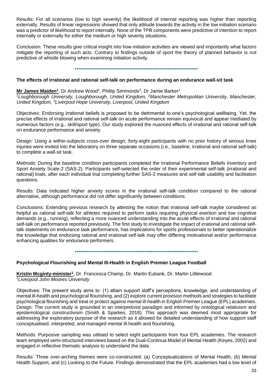Results: For all scenarios (low to high severity) the likelihood of internal reporting was higher than reporting externally. Results of linear regressions showed that only attitude towards the activity in the low initiation scenario was a predictor of likelihood to report internally. None of the TPB components were predictive of intention to report internally or externally for either the medium or high severity situations.

Conclusion: These results give critical insight into how initiation activities are viewed and importantly what factors mitigate the reporting of such acts. Contrary to findings outside of sport the theory of planned behavior is not predictive of whistle blowing when examining initiation activity.

#### •••••••••••••••••••••••••••••••••••••••••••••••••••••••••••••••••••••••••

# **The effects of irrational and rational self-talk on performance during an endurance wall-sit task**

**Mr James Maiden<sup>1</sup>, Dr Andrew Wood<sup>2</sup>, Phillip Simmonds<sup>3</sup>, Dr Jamie Barker<sup>1</sup>** *<sup>1</sup>Loughborough University, Loughborough, United Kingdom, <sup>2</sup>Manchester Metropolitan University, Manchester, United Kingdom, <sup>3</sup>Liverpool Hope University, Liverpool, United Kingdom*

Objectives: Endorsing irrational beliefs is proposed to be detrimental to one's psychological wellbeing. Yet, the precise effects of irrational and rational self-talk on acute performance remain equivocal and appear mediated by numerous factors (e.g., skill/sport type). Our study explored the nuanced effects of irrational and rational self-talk on endurance performance and anxiety.

Design: Using a within-subjects cross-over design, forty-eight participants with no prior history of serious knee injuries were invited into the laboratory on three separate occasions (i.e., baseline, irrational and rational self-talk) to complete a wall-sit task.

Methods: During the baseline condition participants completed the Irrational Performance Beliefs Inventory and Sport Anxiety Scale-2 (SAS-2). Participants self-selected the order of their experimental self-talk (irrational and rational) trials, after each individual trial completing further SAS-2 measures and self-talk usability and facilitation questions.

Results: Data indicated higher anxiety scores in the irrational self-talk condition compared to the rational alternative, although performance did not differ significantly between conditions.

Conclusions: Extending previous research by attesting the notion that irrational self-talk maybe considered as helpful as rational self-talk for athletes required to perform tasks requiring physical exertion and low cognitive demands (e.g., running), reflecting a more nuanced understanding into the acute effects of irrational and rational self-talk on performance reported previously. The first study to investigate the impact of irrational and rational selftalk statements on endurance task performance, has implications for sports professionals to better operationalize the knowledge that endorsing rational and irrational self-talk may offer differing motivational and/or performance enhancing qualities for endurance performers.

•••••••••••••••••••••••••••••••••••••••••••••••••••••••••••••••••••••••••

# **Psychological Flourishing and Mental Ill-Health in English Premier League Football**

**Kristin Mcginty-minister<sup>1</sup>** , Dr. Francesca Champ, Dr. Martin Eubank, Dr. Martin Littlewood *<sup>1</sup>Liverpool John Moores University*

Objectives: The present study aims to: (1) attain support staff's perceptions, knowledge, and understanding of mental ill-health and psychological flourishing, and (2) explore current provision methods and strategies to facilitate psychological flourishing and treat or protect against mental ill-health in English Premier League (EPL) academies. Design: The current study is grounded in an interpretivist paradigm and informed by ontological relativism and epistemological constructivism (Smith & Sparkes, 2018). This approach was deemed most appropriate for addressing the exploratory purpose of the research as it allowed for detailed understanding of how support staff conceptualised, interpreted, and managed mental ill-health and flourishing.

Methods: Purposive sampling was utilised to select eight participants from four EPL academies. The research team employed semi-structured interviews based on the Dual-Continua Model of Mental Health (Keyes, 2002) and engaged in reflective thematic analysis to understand the data.

Results: Three over-arching themes were co-constructed: (a) Conceptualizations of Mental Health, (b) Mental Health Support, and (c) Looking to the Future. Findings demonstrated that the EPL academies had a low level of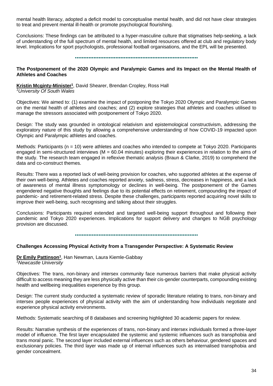mental health literacy, adopted a deficit model to conceptualise mental health, and did not have clear strategies to treat and prevent mental ill-health or promote psychological flourishing.

Conclusions: These findings can be attributed to a hyper-masculine culture that stigmatises help-seeking, a lack of understanding of the full spectrum of mental health, and limited resources offered at club and regulatory body level. Implications for sport psychologists, professional football organisations, and the EPL will be presented.

#### •••••••••••••••••••••••••••••••••••••••••••••••••••••••••••••••••••••••••

#### **The Postponement of the 2020 Olympic and Paralympic Games and its Impact on the Mental Health of Athletes and Coaches**

**Kristin Mcginty-Minister<sup>1</sup>** , David Shearer, Brendan Cropley, Ross Hall

*<sup>1</sup>University Of South Wales*

Objectives: We aimed to: (1) examine the impact of postponing the Tokyo 2020 Olympic and Paralympic Games on the mental health of athletes and coaches; and (2) explore strategies that athletes and coaches utilised to manage the stressors associated with postponement of Tokyo 2020.

Design: The study was grounded in ontological relativism and epistemological constructivism, addressing the exploratory nature of this study by allowing a comprehensive understanding of how COVID-19 impacted upon Olympic and Paralympic athletes and coaches.

Methods: Participants (n = 10) were athletes and coaches who intended to compete at Tokyo 2020. Participants engaged in semi-structured interviews ( $M = 60.04$  minutes) exploring their experiences in relation to the aims of the study. The research team engaged in reflexive thematic analysis (Braun & Clarke, 2019) to comprehend the data and co-construct themes.

Results: There was a reported lack of well-being provision for coaches, who supported athletes at the expense of their own well-being. Athletes and coaches reported anxiety, sadness, stress, decreases in happiness, and a lack of awareness of mental illness symptomology or declines in well-being. The postponement of the Games engendered negative thoughts and feelings due to its potential effects on retirement, compounding the impact of pandemic- and retirement-related stress. Despite these challenges, participants reported acquiring novel skills to improve their well-being, such recognising and talking about their struggles.

Conclusions: Participants required extended and targeted well-being support throughout and following their pandemic and Tokyo 2020 experiences. Implications for support delivery and changes to NGB psychology provision are discussed.

•••••••••••••••••••••••••••••••••••••••••••••••••••••••••••••••••••••••••

#### **Challenges Accessing Physical Activity from a Transgender Perspective: A Systematic Review**

**Dr Emily Pattinson<sup>1</sup>** , Han Newman, Laura Kiemle-Gabbay *<sup>1</sup>Newcastle University*

Objectives: The trans, non-binary and intersex community face numerous barriers that make physical activity difficult to access meaning they are less physically active than their cis-gender counterparts, compounding existing health and wellbeing inequalities experience by this group.

Design: The current study conducted a systematic review of sporadic literature relating to trans, non-binary and intersex people experiences of physical activity with the aim of understanding how individuals negotiate and experience physical activity environments.

Methods: Systematic searching of 8 databases and screening highlighted 30 academic papers for review.

Results: Narrative synthesis of the experiences of trans, non-binary and intersex individuals formed a three-layer model of influence. The first layer encapsulated the systemic and systemic influences such as transphobia and trans moral panic. The second layer included external influences such as others behaviour, gendered spaces and exclusionary policies. The third layer was made up of internal influences such as internalised transphobia and gender concealment.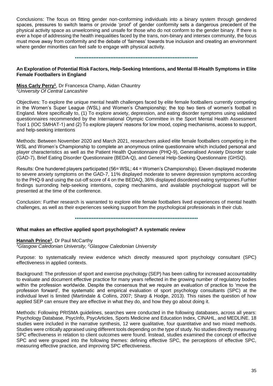Conclusions: The focus on fitting gender non-conforming individuals into a binary system through gendered spaces, pressures to switch teams or provide 'proof' of gender conformity sets a dangerous precedent of the physical activity space as unwelcoming and unsafe for those who do not conform to the gender binary. If there is ever a hope of addressing the health inequalities faced by the trans, non-binary and intersex community, the focus must move away from conformity and the debate of 'fairness' towards true inclusion and creating an environment where gender minorities can feel safe to engage with physical activity.

#### •••••••••••••••••••••••••••••••••••••••••••••••••••••••••••••••••••••••••

#### **An Exploration of Potential Risk Factors, Help-Seeking Intentions, and Mental Ill-Health Symptoms in Elite Female Footballers in England**

**Miss Carly Perry<sup>1</sup>** , Dr Francesca Champ, Aidan Chauntry *<sup>1</sup>University Of Central Lancashire*

Objectives: To explore the unique mental health challenges faced by elite female footballers currently competing in the Women's Super League (WSL) and Women's Championship; the top two tiers of women's football in England. More specifically to, (1) To explore anxiety, depression, and eating disorder symptoms using validated questionnaires recommended by the International Olympic Committee in the Sport Mental Health Assessment Tool 1 (IOC SMHAT-1) and (2) To explore players' reasons for low mood, coping mechanisms, access to support, and help-seeking intentions

Methods: Between November 2020 and March 2021, researchers asked elite female footballers competing in the WSL and Women's Championship to complete an anonymous online questionnaire which included personal and player characteristics as well as the Patient Health Questionnaire (PHQ-9), Generalised Anxiety Disorder scale (GAD-7), Brief Eating Disorder Questionnaire (BEDA-Q), and General Help-Seeking Questionnaire (GHSQ).

Results: One hundered players participated (56= WSL; 44 = Women's Championship). Eleven displayed moderate to severe anxiety symptoms on the GAD-7, 11% displayed moderate to severe depression symptoms according to the PHQ-9 and using the cut-off score of 4 on the BEDAQ, 36% displayed disordered eating symtpomes.Furhter findings surronding help-seeking intentions, coping mechanims, and available psychological support will be presented at the time of the conference.

Conclusion: Further research is warranted to explore elite female footballers lived experiences of mental health challenges, as well as their experiences seeking support from the psychological professionals in their club.

•••••••••••••••••••••••••••••••••••••••••••••••••••••••••••••••••••••••••

#### **What makes an effective applied sport psychologist? A systematic review**

**Hannah Prince<sup>1</sup>** , Dr Paul McCarthy *<sup>1</sup>Glasgow Caledonian University, <sup>2</sup>Glasgow Caledonian University*

Purpose: to systematically review evidence which directly measured sport psychology consultant (SPC) effectiveness in applied contexts.

Background: The profession of sport and exercise psychology (SEP) has been calling for increased accountability to evaluate and document effective practice for many years reflected in the growing number of regulatory bodies within the profession worldwide. Despite the consensus that we require an evaluation of practice to 'move the profession forward', the systematic and empirical evaluation of sport psychology consultants (SPC) at the individual level is limited (Martindale & Collins, 2007; Sharp & Hodge, 2013). This raises the question of how applied SEP can ensure they are effective in what they do, and how they go about doing it.

Methods: Following PRISMA guidelines, searches were conducted in the following databases, across all years: Psychology Database, PsycInfo, PsycArticles, Sports Medicine and Education Index, CINAHL, and MEDLINE. 18 studies were included in the narrative synthesis, 12 were qualitative, four quantitative and two mixed methods. Studies were critically appraised using different tools depending on the type of study. No studies directly measuring SPC effectiveness in relation to client outcomes were found. Instead, studies examined the concept of effective SPC and were grouped into the following themes: defining effective SPC, the perceptions of effective SPC, measuring effective practice, and improving SPC effectiveness.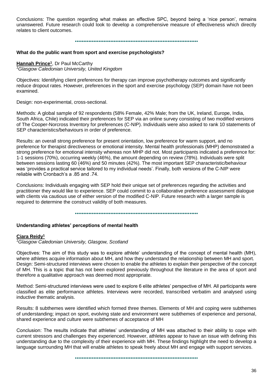Conclusions: The question regarding what makes an effective SPC, beyond being a 'nice person', remains unanswered. Future research could look to develop a comprehensive measure of effectiveness which directly relates to client outcomes.

•••••••••••••••••••••••••••••••••••••••••••••••••••••••••••••••••••••••••

#### **What do the public want from sport and exercise psychologists?**

**Hannah Prince<sup>1</sup>** , Dr Paul McCarthy *<sup>1</sup>Glasgow Caledonian University, United Kingdom*

Objectives: Identifying client preferences for therapy can improve psychotherapy outcomes and significantly reduce dropout rates. However, preferences in the sport and exercise psychology (SEP) domain have not been examined.

Design: non-experimental, cross-sectional.

Methods: A global sample of 92 respondents (58% Female, 42% Male; from the UK, Ireland, Europe, India, South Africa, Chile) indicated their preferences for SEP via an online survey consisting of two modified versions of The Cooper-Norcross Inventory for preferences (C-NIP). Individuals were also asked to rank 10 statements of SEP characteristics/behaviours in order of preference.

Results: an overall strong preference for present orientation, low preference for warm support, and no preference for therapist directiveness or emotional intensity. Mental health professionals (MHP) demonstrated a strong preference for emotional intensity whereas non MHP did not. Most participants indicated a preference for: 1-1 sessions (70%), occurring weekly (46%), the amount depending on review (78%). Individuals were split between sessions lasting 60 (46%) and 50 minutes (42%). The most important SEP characteristic/behaviour was 'provides a practical service tailored to my individual needs'. Finally, both versions of the C-NIP were reliable with Cronbach's a .85 and .74.

Conclusions: Individuals engaging with SEP hold their unique set of preferences regarding the activities and practitioner they would like to experience. SEP could commit to a collaborative preference assessment dialogue with clients via cautious use of either version of the modified C-NIP. Future research with a larger sample is required to determine the construct validity of both measures.

•••••••••••••••••••••••••••••••••••••••••••••••••••••••••••••••••••••••••

#### **Understanding athletes' perceptions of mental health**

#### **Ciara Reidy<sup>1</sup>**

*<sup>1</sup>Glasgow Caledonian University, Glasgow, Scotland*

Objectives: The aim of this study was to explore athlete' understanding of the concept of mental health (MH), where athletes acquire information about MH, and how they understand the relationship between MH and sport. Design: Semi-structured interviews were chosen to enable the athletes to explain their perspective of the concept of MH. This is a topic that has not been explored previously throughout the literature in the area of sport and therefore a qualitative approach was deemed most appropriate.

Method: Semi-structured interviews were used to explore 6 elite athletes' perspective of MH. All participants were classified as elite performance athletes. Interviews were recorded, transcribed verbatim and analysed using inductive thematic analysis.

Results: 8 subthemes were identified which formed three themes. Elements of MH and coping were subthemes of understanding; impact on sport, evolving state and environment were subthemes of experience and personal, shared experience and culture were subthemes of acceptance of MH

Conclusion: The results indicate that athletes' understanding of MH was attached to their ability to cope with current stressors and challenges they experienced. However, athletes appear to have an issue with defining this understanding due to the complexity of their experience with MH. These findings highlight the need to develop a language surrounding MH that will enable athletes to speak freely about MH and engage with support services.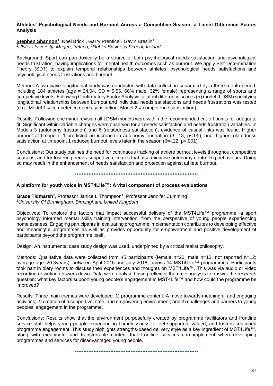#### **Athletes' Psychological Needs and Burnout Across a Competitive Season: a Latent Difference Scores Analysis**

Stephen Shannon<sup>1</sup>, Noel Brick<sup>1</sup>, Garry Prentice<sup>2</sup>, Gavin Breslin<sup>1</sup> *<sup>1</sup>Ulster University, Magee, Ireland, <sup>2</sup>Dublin Business School, Ireland*

Background: Sport can paradoxically be a source of both psychological needs satisfaction and psychological needs frustration, having implications for mental health outcomes such as burnout. We apply Self-Determination Theory (SDT) to explain temporal relationships between athletes' psychological needs satisfactions and psychological needs frustrations and burnout.

Method: A two-wave longitudinal study was conducted with data collection separated by a three-month period, including 184 athletes (age =  $24.04$ , SD =  $5.56$ , 68% male, 32% female) representing a range of sports and competitive levels. Following Confirmatory Factor Analysis, a latent difference scores (∆) model (LDSM) specifying longitudinal relationships between burnout and individual needs satisfactions and needs frustrations was tested (e.g., Model 1 = competence needs satisfaction; Model  $2$  = competence satisfaction).

Results: Following one minor revision all LDSM models were within the recommended cut-off points for adequate fit. Significant within-variable changes were observed for all needs satisfaction and needs frustration variables. In Models 3 (autonomy frustration) and 6 (relatedness satisfaction), evidence of casual links was found. Higher burnout at timepoint 1 predicted an increase in autonomy frustration (β=.13, p<.05), and, higher relatedness satisfaction at timepoint 1 reduced burnout levels later in the season ( $\beta = -122$ ,  $p < 001$ ).

Conclusions: Our study outlines the need for continuous tracking of athlete burnout levels throughout competitive seasons, and for fostering needs-supportive climates that also minimise autonomy-controlling behaviours. Doing so may result in the enhancement of needs satisfaction and protection against athlete burnout.

•••••••••••••••••••••••••••••••••••••••••••••••••••••••••••••••••••••••••

#### **A platform for youth voice in MST4Life™: A vital component of process evaluations**

Grace Tidmarsh<sup>1</sup>, Professor Janice L Thompson<sup>1</sup>, Professor Jennifer Cumming<sup>1</sup> *<sup>1</sup>University Of Birmingham, Birmingham, United Kingdom*

Objectives: To explore the factors that impact successful delivery of the MST4Life™ programme, a sport psychology informed mental skills training intervention, from the perspective of young people experiencing homelessness. Engaging participants in evaluating programme implementation contributes to developing effective and meaningful programmes as well as provides opportunity for empowerment and positive development of participants beyond the programme itself.

Design: An instrumental case study design was used, underpinned by a critical realist philosophy.

Methods: Qualitative data were collected from 45 participants (female n=20, male n=13, not reported n=12; average age=20.3years), between April 2015 and July 2018, across 14 MST4Life™ programmes. Participants took part in diary rooms to discuss their experiences and thoughts on MST4Life™. This was via audio or video recording or writing answers down. Data were analysed using reflexive thematic analysis to answer the research question: what key factors support young people's engagement in MST4Life™ and how could the programme be improved?

Results: Three main themes were developed: 1) programme content: A move towards meaningful and engaging activities; 2) creation of a supportive, safe, and empowering environment; and 3) challenges and barriers to young peoples' engagement in the programme.

Conclusions: Results show that the environment purposefully created by programme facilitators and frontline service staff helps young people experiencing homelessness to feel supported, valued, and fosters continued programme engagement. This study highlights strengths-based delivery style as a key ingredient of MST4Life™, along with meaningful and transferrable content that frontline services can implement when developing programmes and services for disadvantaged young people.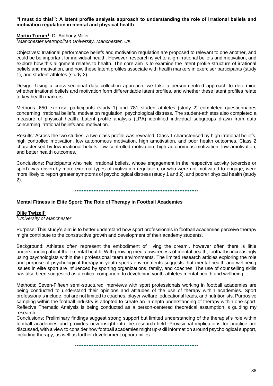#### **"I must do this!": A latent profile analysis approach to understanding the role of irrational beliefs and motivation regulation in mental and physical health**

## **Martin Turner<sup>1</sup>** , Dr Anthony Miller

*<sup>1</sup>Manchester Metropolitan University, Manchester, UK*

Objectives: Irrational performance beliefs and motivation regulation are proposed to relevant to one another, and could be be important for individual health. However, research is yet to align irrational beliefs and motivation, and explore how this alignment relates to health. The core aim is to examine the latent profile structure of irrational beliefs and motivation, and how these latent profiles associate with health markers in exerciser participants (study 1), and student-athletes (study 2).

Design: Using a cross-sectional data collection approach, we take a person-centred approach to determine whether irrational beliefs and motivation form differentiable latent profiles, and whether these latent profiles relate to key health markers.

Methods: 650 exercise participants (study 1) and 781 student-athletes (study 2) completed questionnaires concerning irrational beliefs, motivation regulation, psychological distress. The student-athletes also completed a measure of physical health. Latent profile analysis (LPA) identified individual subgroups drawn from data concerning irrational beliefs and motivation.

Results: Across the two studies, a two class profile was revealed. Class 1 characterised by high irrational beliefs, high controlled motivation, low autonomous motivation, high amotivation, and poor health outcomes. Class 2 characterised by low irrational beliefs, low controlled motivation, high autonomous motivation, low amotivation, and better health outcomes.

Conclusions: Participants who held irrational beliefs, whose engagement in the respective activity (exercise or sport) was driven by more external types of motivation regulation, or who were not motivated to engage, were more likely to report greater symptoms of psychological distress (study 1 and 2), and poorer physical health (study 2).

•••••••••••••••••••••••••••••••••••••••••••••••••••••••••••••••••••••••••

#### **Mental Fitness in Elite Sport: The Role of Therapy in Football Academies**

#### **Ollie Twizell<sup>1</sup>**

*<sup>1</sup>University of Manchester*

Purpose: This study's aim is to better understand how sport professionals in football academies perceive therapy might contribute to the constructive growth and development of their academy students.

Background: Athletes often represent the embodiment of 'living the dream', however often there is little understanding about their mental health. With growing media awareness of mental health, football is increasingly using psychologists within their professional team environments. The limited research articles exploring the role and purpose of psychological therapy in youth sports environments suggests that mental health and wellbeing issues in elite sport are influenced by sporting organizations, family, and coaches. The use of counselling skills has also been suggested as a critical component to developing youth-athletes mental health and wellbeing.

Methods: Seven-Fifteen semi-structured interviews with sport professionals working in football academies are being conducted to understand their opinions and attitudes of the use of therapy within academies. Sport professionals include, but are not limited to coaches, player welfare, educational leads, and nutritionists. Purposive sampling within the football industry is adopted to create an in-depth understanding of therapy within one sport. Reflexive Thematic Analysis is being conducted as a person-centered theoretical assumption is guiding my research.

Conclusions: Preliminary findings suggest strong support but limited understanding of the therapist's role within football academies and provides new insight into the research field. Provisional implications for practice are discussed, with a view to consider how football academies might up-skill information around psychological support, including therapy, as well as further development opportunities.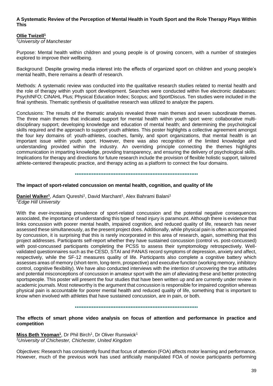### **A Systematic Review of the Perception of Mental Health in Youth Sport and the Role Therapy Plays Within This**

#### **Ollie Twizell<sup>1</sup>**

*<sup>1</sup>University of Manchester*

Purpose: Mental health within children and young people is of growing concern, with a number of strategies explored to improve their wellbeing.

Background: Despite growing media interest into the effects of organized sport on children and young people's mental health, there remains a dearth of research.

Methods: A systematic review was conducted into the qualitative research studies related to mental health and the role of therapy within youth sport development. Searches were conducted within five electronic databases: PsychINFO; CINAHL Plus; Physical Education Index; Scopus; and SportDiscus. Ten studies were included in the final synthesis. Thematic synthesis of qualitative research was utilized to analyze the papers.

Conclusions: The results of the thematic analysis revealed three main themes and seven subordinate themes. The three main themes that indicated support for mental health within youth sport were: collaborative multidisciplinary support; developing knowledge and education of mental health; and determining the psychological skills required and the approach to support youth athletes. This poster highlights a collective agreement amongst the four key domains of: youth-athletes, coaches, family, and sport organizations, that mental health is an important issue within youth sport. However, there was also recognition of the limited knowledge and understanding provided within the industry. An overriding principle connecting the themes highlights communication in imparting knowledge, providing transparency, and ensuring the delivery of psychological skills. Implications for therapy and directions for future research include the provision of flexible holistic support, tailored athlete-centered therapeutic practice, and therapy acting as a platform to connect the four domains.

•••••••••••••••••••••••••••••••••••••••••••••••••••••••••••••••••••••••••

#### **The impact of sport-related concussion on mental health, cognition, and quality of life**

**Daniel Walker<sup>1</sup>**, Adam Qureshi<sup>1</sup>, David Marchant<sup>1</sup>, Alex Bahrami Balani<sup>1</sup> *<sup>1</sup>Edge Hill University*

With the ever-increasing prevalence of sport-related concussion and the potential negative consequences associated, the importance of understanding this type of head injury is paramount. Although there is evidence that links concussion with poorer mental health, impaired cognition, and reduced quality of life, research has never assessed these simultaneously, as the present project does. Additionally, while physical pain is often accompanied by concussion, it is surprising that this is rarely incorporated in this area of research, again, something that this project addresses. Participants self-report whether they have sustained concussion (control vs. post-concussed) with post-concussed participants completing the PCSS to assess their symptomology retrospectively. Wellvalidated questionnaires such as the CESD, STAI and PANAS record symptoms of depression, anxiety and affect, respectively, while the SF-12 measures quality of life. Participants also complete a cognitive battery which assesses areas of memory (short-term, long-term, prospective) and executive function (working memory, inhibitory control, cognitive flexibility). We have also conducted interviews with the intention of uncovering the true attitudes and potential misconceptions of concussion in amateur sport with the aim of alleviating these and better protecting sportspeople. This poster will present the four studies that have been written up and are currently under review in academic journals. Most noteworthy is the argument that concussion is responsible for impaired cognition whereas physical pain is accountable for poorer mental health and reduced quality of life, something that is important to know when involved with athletes that have sustained concussion, are in pain, or both.

•••••••••••••••••••••••••••••••••••••••••••••••••••••••••••••••••••••••••

#### **The effects of smart phone video analysis on focus of attention and performance in practice and competition**

**Miss Beth Yeoman<sup>1</sup>** , Dr Phil Birch<sup>1</sup> , Dr Oliver Runswick<sup>1</sup> *<sup>1</sup>University of Chichester, Chichester, United Kingdom*

Objectives: Research has consistently found that focus of attention (FOA) affects motor learning and performance. However, much of the previous work has used artificially manipulated FOA of novice participants performing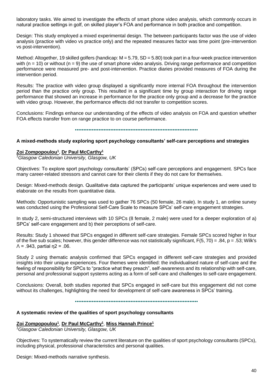laboratory tasks. We aimed to investigate the effects of smart phone video analysis, which commonly occurs in natural practice settings in golf, on skilled player's FOA and performance in both practice and competition.

Design: This study employed a mixed experimental design. The between participants factor was the use of video analysis (practice with video vs practice only) and the repeated measures factor was time point (pre-intervention vs post-intervention).

Method: Altogether, 19 skilled golfers (handicap:  $M = 5.79$ , SD = 5.80) took part in a four-week practice intervention with ( $n = 10$ ) or without ( $n = 9$ ) the use of smart phone video analysis. Driving range performance and competition performance were measured pre- and post-intervention. Practice diaries provided measures of FOA during the intervention period.

Results: The practice with video group displayed a significantly more internal FOA throughout the intervention period than the practice only group. This resulted in a significant time by group interaction for driving range performance that showed an increase in performance for the practice only group and a decrease for the practice with video group. However, the performance effects did not transfer to competition scores.

Conclusions: Findings enhance our understanding of the effects of video analysis on FOA and question whether FOA effects transfer from on range practice to on course performance.

•••••••••••••••••••••••••••••••••••••••••••••••••••••••••••••••••••••••••

#### **A mixed-methods study exploring sport psychology consultants' self-care perceptions and strategies**

#### **Zoi Zompopoulou<sup>1</sup>** , **Dr Paul McCarthy<sup>1</sup>**

*<sup>1</sup>Glasgow Caledonian University, Glasgow, UK*

Objectives: To explore sport psychology consultants' (SPCs) self-care perceptions and engagement. SPCs face many career-related stressors and cannot care for their clients if they do not care for themselves.

Design: Mixed-methods design. Qualitative data captured the participants' unique experiences and were used to elaborate on the results from quantitative data.

Methods: Opportunistic sampling was used to gather 76 SPCs (50 female, 26 male). In study 1, an online survey was conducted using the Professional Self-Care Scale to measure SPCs' self-care engagement strategies.

In study 2, semi-structured interviews with 10 SPCs (8 female, 2 male) were used for a deeper exploration of a) SPCs' self-care engagement and b) their perceptions of self-care.

Results: Study 1 showed that SPCs engaged in different self-care strategies. Female SPCs scored higher in four of the five sub scales; however, this gender difference was not statistically significant,  $F(5, 70) = .84$ ,  $p = .53$ ; Wilk's  $Λ = .943$ , partial η2 = .06.

Study 2 using thematic analysis confirmed that SPCs engaged in different self-care strategies and provided insights into their unique experiences. Four themes were identified: the individualised nature of self-care and the feeling of responsibility for SPCs to "practice what they preach", self-awareness and its relationship with self-care, personal and professional support systems acting as a form of self-care and challenges to self-care engagement.

Conclusions: Overall, both studies reported that SPCs engaged in self-care but this engagement did not come without its challenges, highlighting the need for development of self-care awareness in SPCs' training.

•••••••••••••••••••••••••••••••••••••••••••••••••••••••••••••••••••••••••

#### **A systematic review of the qualities of sport psychology consultants**

# **Zoi Zompopoulou<sup>1</sup>** , **Dr Paul McCarthy<sup>1</sup>** , **Miss Hannah Prince<sup>1</sup>**

*<sup>1</sup>Glasgow Caledonian University, Glasgow, UK*

Objectives: To systematically review the current literature on the qualities of sport psychology consultants (SPCs), including physical, professional characteristics and personal qualities.

Design: Mixed-methods narrative synthesis.